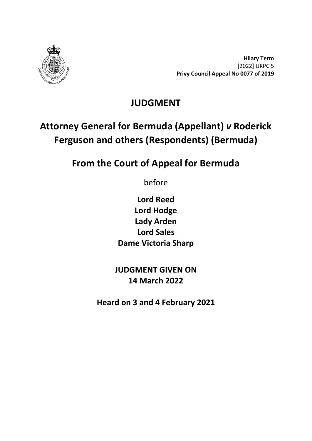

**Hilary Term** [2022] UKPC 5 **Privy Council Appeal No 0077 of 2019**

# **JUDGMENT**

# **Attorney General for Bermuda (Appellant)** *v* **Roderick Ferguson and others (Respondents) (Bermuda)**

# **From the Court of Appeal for Bermuda**

before

**Lord Reed Lord Hodge Lady Arden Lord Sales Dame Victoria Sharp**

**JUDGMENT GIVEN ON 14 March 2022**

**Heard on 3 and 4 February 2021**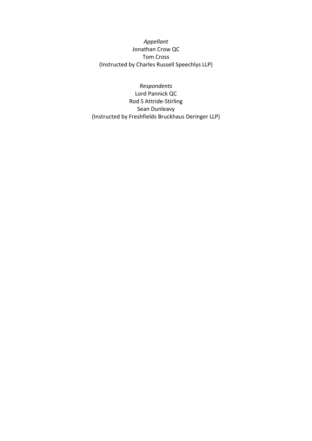*Appellant* Jonathan Crow QC Tom Cross (Instructed by Charles Russell Speechlys LLP)

*Respondents* Lord Pannick QC Rod S Attride-Stirling Sean Dunleavy (Instructed by Freshfields Bruckhaus Deringer LLP)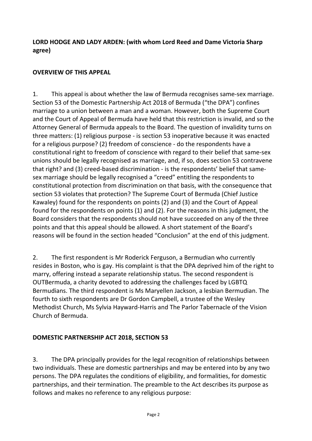#### **LORD HODGE AND LADY ARDEN: (with whom Lord Reed and Dame Victoria Sharp agree)**

#### **OVERVIEW OF THIS APPEAL**

1. This appeal is about whether the law of Bermuda recognises same-sex marriage. Section 53 of the Domestic Partnership Act 2018 of Bermuda ("the DPA") confines marriage to a union between a man and a woman. However, both the Supreme Court and the Court of Appeal of Bermuda have held that this restriction is invalid, and so the Attorney General of Bermuda appeals to the Board. The question of invalidity turns on three matters: (1) religious purpose - is section 53 inoperative because it was enacted for a religious purpose? (2) freedom of conscience - do the respondents have a constitutional right to freedom of conscience with regard to their belief that same-sex unions should be legally recognised as marriage, and, if so, does section 53 contravene that right? and (3) creed-based discrimination - is the respondents' belief that samesex marriage should be legally recognised a "creed" entitling the respondents to constitutional protection from discrimination on that basis, with the consequence that section 53 violates that protection? The Supreme Court of Bermuda (Chief Justice Kawaley) found for the respondents on points (2) and (3) and the Court of Appeal found for the respondents on points (1) and (2). For the reasons in this judgment, the Board considers that the respondents should not have succeeded on any of the three points and that this appeal should be allowed. A short statement of the Board's reasons will be found in the section headed "Conclusion" at the end of this judgment.

2. The first respondent is Mr Roderick Ferguson, a Bermudian who currently resides in Boston, who is gay. His complaint is that the DPA deprived him of the right to marry, offering instead a separate relationship status. The second respondent is OUTBermuda, a charity devoted to addressing the challenges faced by LGBTQ Bermudians. The third respondent is Ms Maryellen Jackson, a lesbian Bermudian. The fourth to sixth respondents are Dr Gordon Campbell, a trustee of the Wesley Methodist Church, Ms Sylvia Hayward-Harris and The Parlor Tabernacle of the Vision Church of Bermuda.

# **DOMESTIC PARTNERSHIP ACT 2018, SECTION 53**

3. The DPA principally provides for the legal recognition of relationships between two individuals. These are domestic partnerships and may be entered into by any two persons. The DPA regulates the conditions of eligibility, and formalities, for domestic partnerships, and their termination. The preamble to the Act describes its purpose as follows and makes no reference to any religious purpose: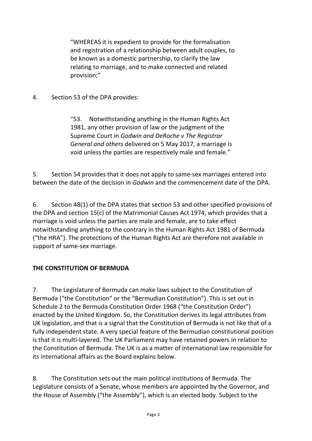"WHEREAS it is expedient to provide for the formalisation and registration of a relationship between adult couples, to be known as a domestic partnership, to clarify the law relating to marriage, and to make connected and related provision;"

4. Section 53 of the DPA provides:

"53. Notwithstanding anything in the Human Rights Act 1981, any other provision of law or the judgment of the Supreme Court in *Godwin and DeRoche v The Registrar General and others* delivered on 5 May 2017, a marriage is void unless the parties are respectively male and female."

5. Section 54 provides that it does not apply to same-sex marriages entered into between the date of the decision in *Godwin* and the commencement date of the DPA.

6. Section 48(1) of the DPA states that section 53 and other specified provisions of the DPA and section 15(c) of the Matrimonial Causes Act 1974, which provides that a marriage is void unless the parties are male and female, are to take effect notwithstanding anything to the contrary in the Human Rights Act 1981 of Bermuda ("the HRA"). The protections of the Human Rights Act are therefore not available in support of same-sex marriage.

#### **THE CONSTITUTION OF BERMUDA**

7. The Legislature of Bermuda can make laws subject to the Constitution of Bermuda ("the Constitution" or the "Bermudian Constitution"). This is set out in Schedule 2 to the Bermuda Constitution Order 1968 ("the Constitution Order") enacted by the United Kingdom. So, the Constitution derives its legal attributes from UK legislation, and that is a signal that the Constitution of Bermuda is not like that of a fully independent state. A very special feature of the Bermudian constitutional position is that it is multi-layered. The UK Parliament may have retained powers in relation to the Constitution of Bermuda. The UK is as a matter of international law responsible for its international affairs as the Board explains below.

8. The Constitution sets out the main political institutions of Bermuda. The Legislature consists of a Senate, whose members are appointed by the Governor, and the House of Assembly ("the Assembly"), which is an elected body. Subject to the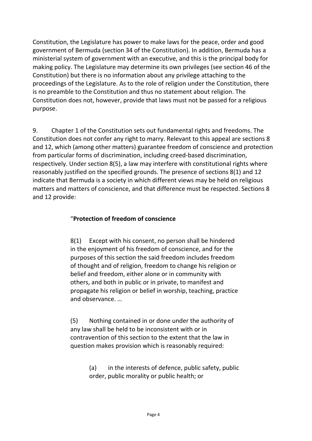Constitution, the Legislature has power to make laws for the peace, order and good government of Bermuda (section 34 of the Constitution). In addition, Bermuda has a ministerial system of government with an executive, and this is the principal body for making policy. The Legislature may determine its own privileges (see section 46 of the Constitution) but there is no information about any privilege attaching to the proceedings of the Legislature. As to the role of religion under the Constitution, there is no preamble to the Constitution and thus no statement about religion. The Constitution does not, however, provide that laws must not be passed for a religious purpose.

9. Chapter 1 of the Constitution sets out fundamental rights and freedoms. The Constitution does not confer any right to marry. Relevant to this appeal are sections 8 and 12, which (among other matters) guarantee freedom of conscience and protection from particular forms of discrimination, including creed-based discrimination, respectively. Under section 8(5), a law may interfere with constitutional rights where reasonably justified on the specified grounds. The presence of sections 8(1) and 12 indicate that Bermuda is a society in which different views may be held on religious matters and matters of conscience, and that difference must be respected. Sections 8 and 12 provide:

#### "**Protection of freedom of conscience**

8(1) Except with his consent, no person shall be hindered in the enjoyment of his freedom of conscience, and for the purposes of this section the said freedom includes freedom of thought and of religion, freedom to change his religion or belief and freedom, either alone or in community with others, and both in public or in private, to manifest and propagate his religion or belief in worship, teaching, practice and observance. …

(5) Nothing contained in or done under the authority of any law shall be held to be inconsistent with or in contravention of this section to the extent that the law in question makes provision which is reasonably required:

> (a) in the interests of defence, public safety, public order, public morality or public health; or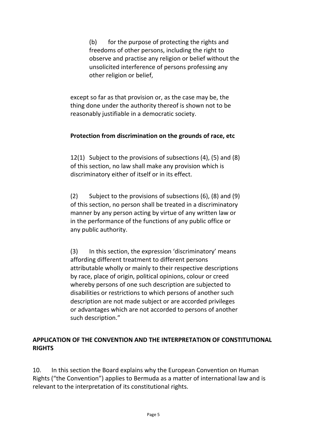(b) for the purpose of protecting the rights and freedoms of other persons, including the right to observe and practise any religion or belief without the unsolicited interference of persons professing any other religion or belief,

except so far as that provision or, as the case may be, the thing done under the authority thereof is shown not to be reasonably justifiable in a democratic society.

#### **Protection from discrimination on the grounds of race, etc**

12(1) Subject to the provisions of subsections (4), (5) and (8) of this section, no law shall make any provision which is discriminatory either of itself or in its effect.

(2) Subject to the provisions of subsections (6), (8) and (9) of this section, no person shall be treated in a discriminatory manner by any person acting by virtue of any written law or in the performance of the functions of any public office or any public authority.

(3) In this section, the expression 'discriminatory' means affording different treatment to different persons attributable wholly or mainly to their respective descriptions by race, place of origin, political opinions, colour or creed whereby persons of one such description are subjected to disabilities or restrictions to which persons of another such description are not made subject or are accorded privileges or advantages which are not accorded to persons of another such description."

#### **APPLICATION OF THE CONVENTION AND THE INTERPRETATION OF CONSTITUTIONAL RIGHTS**

10. In this section the Board explains why the European Convention on Human Rights ("the Convention") applies to Bermuda as a matter of international law and is relevant to the interpretation of its constitutional rights.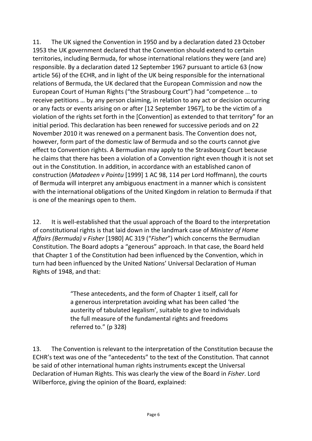11. The UK signed the Convention in 1950 and by a declaration dated 23 October 1953 the UK government declared that the Convention should extend to certain territories, including Bermuda, for whose international relations they were (and are) responsible. By a declaration dated 12 September 1967 pursuant to article 63 (now article 56) of the ECHR, and in light of the UK being responsible for the international relations of Bermuda, the UK declared that the European Commission and now the European Court of Human Rights ("the Strasbourg Court") had "competence … to receive petitions … by any person claiming, in relation to any act or decision occurring or any facts or events arising on or after [12 September 1967], to be the victim of a violation of the rights set forth in the [Convention] as extended to that territory" for an initial period. This declaration has been renewed for successive periods and on 22 November 2010 it was renewed on a permanent basis. The Convention does not, however, form part of the domestic law of Bermuda and so the courts cannot give effect to Convention rights. A Bermudian may apply to the Strasbourg Court because he claims that there has been a violation of a Convention right even though it is not set out in the Constitution. In addition, in accordance with an established canon of construction (*Matadeen v Pointu* [1999] 1 AC 98, 114 per Lord Hoffmann), the courts of Bermuda will interpret any ambiguous enactment in a manner which is consistent with the international obligations of the United Kingdom in relation to Bermuda if that is one of the meanings open to them.

12. It is well-established that the usual approach of the Board to the interpretation of constitutional rights is that laid down in the landmark case of *Minister of Home Affairs (Bermuda) v Fisher* [1980] AC 319 ("*Fisher*") which concerns the Bermudian Constitution. The Board adopts a "generous" approach. In that case, the Board held that Chapter 1 of the Constitution had been influenced by the Convention, which in turn had been influenced by the United Nations' Universal Declaration of Human Rights of 1948, and that:

> "These antecedents, and the form of Chapter 1 itself, call for a generous interpretation avoiding what has been called 'the austerity of tabulated legalism', suitable to give to individuals the full measure of the fundamental rights and freedoms referred to." (p 328)

13. The Convention is relevant to the interpretation of the Constitution because the ECHR's text was one of the "antecedents" to the text of the Constitution. That cannot be said of other international human rights instruments except the Universal Declaration of Human Rights. This was clearly the view of the Board in *Fisher*. Lord Wilberforce, giving the opinion of the Board, explained: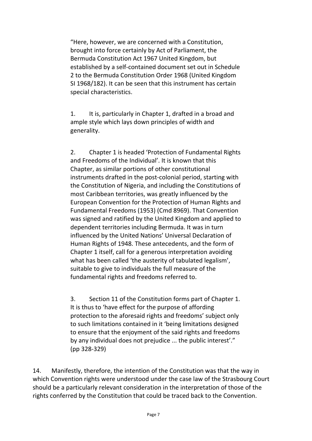"Here, however, we are concerned with a Constitution, brought into force certainly by Act of Parliament, the Bermuda Constitution Act 1967 United Kingdom, but established by a self-contained document set out in Schedule 2 to the Bermuda Constitution Order 1968 (United Kingdom SI 1968/182). It can be seen that this instrument has certain special characteristics.

1. It is, particularly in Chapter 1, drafted in a broad and ample style which lays down principles of width and generality.

2. Chapter 1 is headed 'Protection of Fundamental Rights and Freedoms of the Individual'. It is known that this Chapter, as similar portions of other constitutional instruments drafted in the post-colonial period, starting with the Constitution of Nigeria, and including the Constitutions of most Caribbean territories, was greatly influenced by the European Convention for the Protection of Human Rights and Fundamental Freedoms (1953) (Cmd 8969). That Convention was signed and ratified by the United Kingdom and applied to dependent territories including Bermuda. It was in turn influenced by the United Nations' Universal Declaration of Human Rights of 1948. These antecedents, and the form of Chapter 1 itself, call for a generous interpretation avoiding what has been called 'the austerity of tabulated legalism', suitable to give to individuals the full measure of the fundamental rights and freedoms referred to.

3. Section 11 of the Constitution forms part of Chapter 1. It is thus to 'have effect for the purpose of affording protection to the aforesaid rights and freedoms' subject only to such limitations contained in it 'being limitations designed to ensure that the enjoyment of the said rights and freedoms by any individual does not prejudice ... the public interest'." (pp 328-329)

14. Manifestly, therefore, the intention of the Constitution was that the way in which Convention rights were understood under the case law of the Strasbourg Court should be a particularly relevant consideration in the interpretation of those of the rights conferred by the Constitution that could be traced back to the Convention.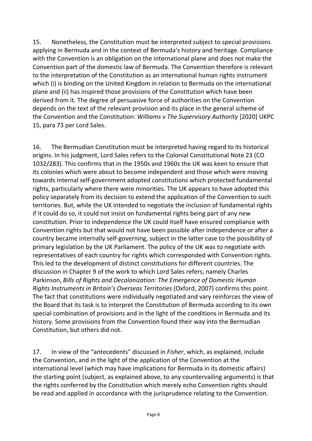15. Nonetheless, the Constitution must be interpreted subject to special provisions applying in Bermuda and in the context of Bermuda's history and heritage. Compliance with the Convention is an obligation on the international plane and does not make the Convention part of the domestic law of Bermuda. The Convention therefore is relevant to the interpretation of the Constitution as an international human rights instrument which (i) is binding on the United Kingdom in relation to Bermuda on the international plane and (ii) has inspired those provisions of the Constitution which have been derived from it. The degree of persuasive force of authorities on the Convention depends on the text of the relevant provision and its place in the general scheme of the Convention and the Constitution: *Williams v The Supervisory Authority* [2020] UKPC 15, para 73 per Lord Sales.

16. The Bermudian Constitution must be interpreted having regard to its historical origins. In his judgment, Lord Sales refers to the Colonial Constitutional Note 23 (CO 1032/283). This confirms that in the 1950s and 1960s the UK was keen to ensure that its colonies which were about to become independent and those which were moving towards internal self-government adopted constitutions which protected fundamental rights, particularly where there were minorities. The UK appears to have adopted this policy separately from its decision to extend the application of the Convention to such territories. But, while the UK intended to negotiate the inclusion of fundamental rights if it could do so, it could not insist on fundamental rights being part of any new constitution. Prior to independence the UK could itself have ensured compliance with Convention rights but that would not have been possible after independence or after a country became internally self-governing, subject in the latter case to the possibility of primary legislation by the UK Parliament. The policy of the UK was to negotiate with representatives of each country for rights which corresponded with Convention rights. This led to the development of distinct constitutions for different countries. The discussion in Chapter 9 of the work to which Lord Sales refers, namely Charles Parkinson, *Bills of Rights and Decolonization: The Emergence of Domestic Human Rights Instruments in Britain's Overseas Territories* (Oxford, 2007) confirms this point. The fact that constitutions were individually negotiated and vary reinforces the view of the Board that its task is to interpret the Constitution of Bermuda according to its own special combination of provisions and in the light of the conditions in Bermuda and its history. Some provisions from the Convention found their way into the Bermudian Constitution, but others did not.

17. In view of the "antecedents" discussed in *Fisher*, which, as explained, include the Convention, and in the light of the application of the Convention at the international level (which may have implications for Bermuda in its domestic affairs) the starting point (subject, as explained above, to any countervailing arguments) is that the rights conferred by the Constitution which merely echo Convention rights should be read and applied in accordance with the jurisprudence relating to the Convention.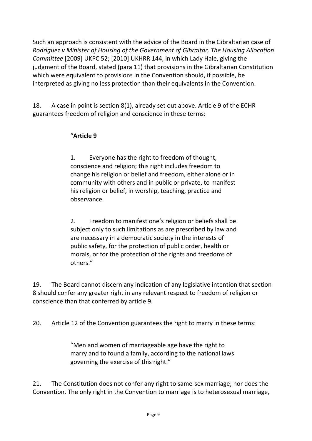Such an approach is consistent with the advice of the Board in the Gibraltarian case of *Rodriguez v Minister of Housing of the Government of Gibraltar, The Housing Allocation Committee* [2009] UKPC 52; [2010] UKHRR 144, in which Lady Hale, giving the judgment of the Board, stated (para 11) that provisions in the Gibraltarian Constitution which were equivalent to provisions in the Convention should, if possible, be interpreted as giving no less protection than their equivalents in the Convention.

18. A case in point is section 8(1), already set out above. Article 9 of the ECHR guarantees freedom of religion and conscience in these terms:

#### "**Article 9**

1. Everyone has the right to freedom of thought, conscience and religion; this right includes freedom to change his religion or belief and freedom, either alone or in community with others and in public or private, to manifest his religion or belief, in worship, teaching, practice and observance.

2. Freedom to manifest one's religion or beliefs shall be subject only to such limitations as are prescribed by law and are necessary in a democratic society in the interests of public safety, for the protection of public order, health or morals, or for the protection of the rights and freedoms of others."

19. The Board cannot discern any indication of any legislative intention that section 8 should confer any greater right in any relevant respect to freedom of religion or conscience than that conferred by article 9.

20. Article 12 of the Convention guarantees the right to marry in these terms:

"Men and women of marriageable age have the right to marry and to found a family, according to the national laws governing the exercise of this right."

21. The Constitution does not confer any right to same-sex marriage; nor does the Convention. The only right in the Convention to marriage is to heterosexual marriage,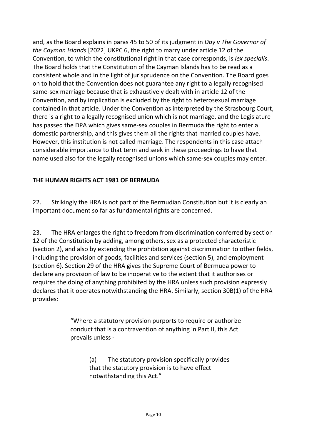and, as the Board explains in paras 45 to 50 of its judgment in *Day v The Governor of the Cayman Islands* [2022] UKPC 6, the right to marry under article 12 of the Convention, to which the constitutional right in that case corresponds, is *lex specialis*. The Board holds that the Constitution of the Cayman Islands has to be read as a consistent whole and in the light of jurisprudence on the Convention. The Board goes on to hold that the Convention does not guarantee any right to a legally recognised same-sex marriage because that is exhaustively dealt with in article 12 of the Convention, and by implication is excluded by the right to heterosexual marriage contained in that article. Under the Convention as interpreted by the Strasbourg Court, there is a right to a legally recognised union which is not marriage, and the Legislature has passed the DPA which gives same-sex couples in Bermuda the right to enter a domestic partnership, and this gives them all the rights that married couples have. However, this institution is not called marriage. The respondents in this case attach considerable importance to that term and seek in these proceedings to have that name used also for the legally recognised unions which same-sex couples may enter.

### **THE HUMAN RIGHTS ACT 1981 OF BERMUDA**

22. Strikingly the HRA is not part of the Bermudian Constitution but it is clearly an important document so far as fundamental rights are concerned.

23. The HRA enlarges the right to freedom from discrimination conferred by section 12 of the Constitution by adding, among others, sex as a protected characteristic (section 2), and also by extending the prohibition against discrimination to other fields, including the provision of goods, facilities and services (section 5), and employment (section 6). Section 29 of the HRA gives the Supreme Court of Bermuda power to declare any provision of law to be inoperative to the extent that it authorises or requires the doing of anything prohibited by the HRA unless such provision expressly declares that it operates notwithstanding the HRA. Similarly, section 30B(1) of the HRA provides:

> "Where a statutory provision purports to require or authorize conduct that is a contravention of anything in Part II, this Act prevails unless -

> > (a) The statutory provision specifically provides that the statutory provision is to have effect notwithstanding this Act."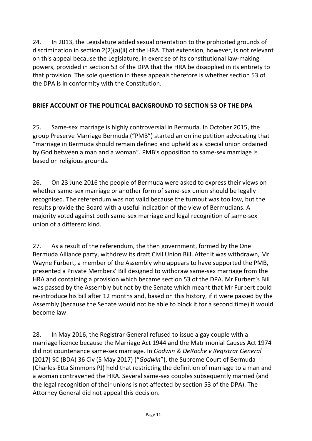24. In 2013, the Legislature added sexual orientation to the prohibited grounds of discrimination in section 2(2)(a)(ii) of the HRA. That extension, however, is not relevant on this appeal because the Legislature, in exercise of its constitutional law-making powers, provided in section 53 of the DPA that the HRA be disapplied in its entirety to that provision. The sole question in these appeals therefore is whether section 53 of the DPA is in conformity with the Constitution.

# **BRIEF ACCOUNT OF THE POLITICAL BACKGROUND TO SECTION 53 OF THE DPA**

25. Same-sex marriage is highly controversial in Bermuda. In October 2015, the group Preserve Marriage Bermuda ("PMB") started an online petition advocating that "marriage in Bermuda should remain defined and upheld as a special union ordained by God between a man and a woman". PMB's opposition to same-sex marriage is based on religious grounds.

26. On 23 June 2016 the people of Bermuda were asked to express their views on whether same-sex marriage or another form of same-sex union should be legally recognised. The referendum was not valid because the turnout was too low, but the results provide the Board with a useful indication of the view of Bermudians. A majority voted against both same-sex marriage and legal recognition of same-sex union of a different kind.

27. As a result of the referendum, the then government, formed by the One Bermuda Alliance party, withdrew its draft Civil Union Bill. After it was withdrawn, Mr Wayne Furbert, a member of the Assembly who appears to have supported the PMB, presented a Private Members' Bill designed to withdraw same-sex marriage from the HRA and containing a provision which became section 53 of the DPA. Mr Furbert's Bill was passed by the Assembly but not by the Senate which meant that Mr Furbert could re-introduce his bill after 12 months and, based on this history, if it were passed by the Assembly (because the Senate would not be able to block it for a second time) it would become law.

28. In May 2016, the Registrar General refused to issue a gay couple with a marriage licence because the Marriage Act 1944 and the Matrimonial Causes Act 1974 did not countenance same-sex marriage. In *Godwin & DeRoche v Registrar General* [2017] SC (BDA) 36 Civ (5 May 2017) ("*Godwin*"), the Supreme Court of Bermuda (Charles-Etta Simmons PJ) held that restricting the definition of marriage to a man and a woman contravened the HRA. Several same-sex couples subsequently married (and the legal recognition of their unions is not affected by section 53 of the DPA). The Attorney General did not appeal this decision.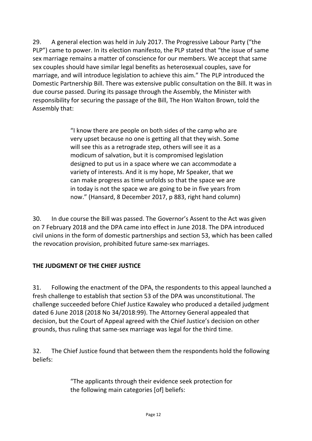29. A general election was held in July 2017. The Progressive Labour Party ("the PLP") came to power. In its election manifesto, the PLP stated that "the issue of same sex marriage remains a matter of conscience for our members. We accept that same sex couples should have similar legal benefits as heterosexual couples, save for marriage, and will introduce legislation to achieve this aim." The PLP introduced the Domestic Partnership Bill. There was extensive public consultation on the Bill. It was in due course passed. During its passage through the Assembly, the Minister with responsibility for securing the passage of the Bill, The Hon Walton Brown, told the Assembly that:

> "I know there are people on both sides of the camp who are very upset because no one is getting all that they wish. Some will see this as a retrograde step, others will see it as a modicum of salvation, but it is compromised legislation designed to put us in a space where we can accommodate a variety of interests. And it is my hope, Mr Speaker, that we can make progress as time unfolds so that the space we are in today is not the space we are going to be in five years from now." (Hansard, 8 December 2017, p 883, right hand column)

30. In due course the Bill was passed. The Governor's Assent to the Act was given on 7 February 2018 and the DPA came into effect in June 2018. The DPA introduced civil unions in the form of domestic partnerships and section 53, which has been called the revocation provision, prohibited future same-sex marriages.

#### **THE JUDGMENT OF THE CHIEF JUSTICE**

31. Following the enactment of the DPA, the respondents to this appeal launched a fresh challenge to establish that section 53 of the DPA was unconstitutional. The challenge succeeded before Chief Justice Kawaley who produced a detailed judgment dated 6 June 2018 (2018 No 34/2018:99). The Attorney General appealed that decision, but the Court of Appeal agreed with the Chief Justice's decision on other grounds, thus ruling that same-sex marriage was legal for the third time.

32. The Chief Justice found that between them the respondents hold the following beliefs:

> "The applicants through their evidence seek protection for the following main categories [of] beliefs: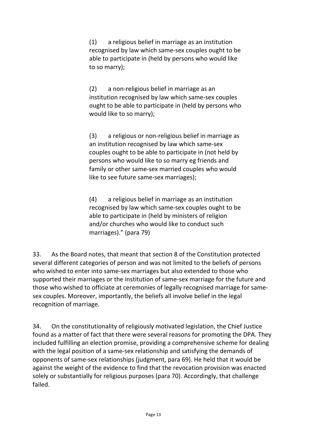(1) a religious belief in marriage as an institution recognised by law which same-sex couples ought to be able to participate in (held by persons who would like to so marry);

(2) a non-religious belief in marriage as an institution recognised by law which same-sex couples ought to be able to participate in (held by persons who would like to so marry);

(3) a religious or non-religious belief in marriage as an institution recognised by law which same-sex couples ought to be able to participate in (not held by persons who would like to so marry eg friends and family or other same-sex married couples who would like to see future same-sex marriages);

(4) a religious belief in marriage as an institution recognised by law which same-sex couples ought to be able to participate in (held by ministers of religion and/or churches who would like to conduct such marriages)." (para 79)

33. As the Board notes, that meant that section 8 of the Constitution protected several different categories of person and was not limited to the beliefs of persons who wished to enter into same-sex marriages but also extended to those who supported their marriages or the institution of same-sex marriage for the future and those who wished to officiate at ceremonies of legally recognised marriage for samesex couples. Moreover, importantly, the beliefs all involve belief in the legal recognition of marriage.

34. On the constitutionality of religiously motivated legislation, the Chief Justice found as a matter of fact that there were several reasons for promoting the DPA. They included fulfilling an election promise, providing a comprehensive scheme for dealing with the legal position of a same-sex relationship and satisfying the demands of opponents of same-sex relationships (judgment, para 69). He held that it would be against the weight of the evidence to find that the revocation provision was enacted solely or substantially for religious purposes (para 70). Accordingly, that challenge failed.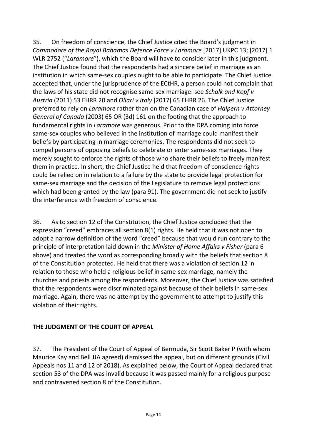35. On freedom of conscience, the Chief Justice cited the Board's judgment in *Commodore of the Royal Bahamas Defence Force v Laramore* [2017] UKPC 13; [2017] 1 WLR 2752 ("*Laramore*"), which the Board will have to consider later in this judgment. The Chief Justice found that the respondents had a sincere belief in marriage as an institution in which same-sex couples ought to be able to participate. The Chief Justice accepted that, under the jurisprudence of the ECtHR, a person could not complain that the laws of his state did not recognise same-sex marriage: see *Schalk and Kopf v Austria* (2011) 53 EHRR 20 and *Oliari v Italy* [2017] 65 EHRR 26. The Chief Justice preferred to rely on *Laramore* rather than on the Canadian case of *Halpern v Attorney General of Canada* (2003) 65 OR (3d) 161 on the footing that the approach to fundamental rights in *Laramore* was generous. Prior to the DPA coming into force same-sex couples who believed in the institution of marriage could manifest their beliefs by participating in marriage ceremonies. The respondents did not seek to compel persons of opposing beliefs to celebrate or enter same-sex marriages. They merely sought to enforce the rights of those who share their beliefs to freely manifest them in practice. In short, the Chief Justice held that freedom of conscience rights could be relied on in relation to a failure by the state to provide legal protection for same-sex marriage and the decision of the Legislature to remove legal protections which had been granted by the law (para 91). The government did not seek to justify the interference with freedom of conscience.

36. As to section 12 of the Constitution, the Chief Justice concluded that the expression "creed" embraces all section 8(1) rights. He held that it was not open to adopt a narrow definition of the word "creed" because that would run contrary to the principle of interpretation laid down in the *Minister of Home Affairs v Fisher* (para 6 above) and treated the word as corresponding broadly with the beliefs that section 8 of the Constitution protected. He held that there was a violation of section 12 in relation to those who held a religious belief in same-sex marriage, namely the churches and priests among the respondents. Moreover, the Chief Justice was satisfied that the respondents were discriminated against because of their beliefs in same-sex marriage. Again, there was no attempt by the government to attempt to justify this violation of their rights.

#### **THE JUDGMENT OF THE COURT OF APPEAL**

37. The President of the Court of Appeal of Bermuda, Sir Scott Baker P (with whom Maurice Kay and Bell JJA agreed) dismissed the appeal, but on different grounds (Civil Appeals nos 11 and 12 of 2018). As explained below, the Court of Appeal declared that section 53 of the DPA was invalid because it was passed mainly for a religious purpose and contravened section 8 of the Constitution.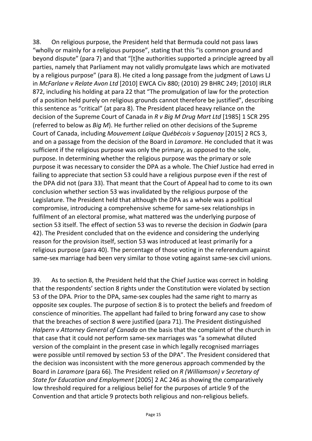38. On religious purpose, the President held that Bermuda could not pass laws "wholly or mainly for a religious purpose", stating that this "is common ground and beyond dispute" (para 7) and that "[t]he authorities supported a principle agreed by all parties, namely that Parliament may not validly promulgate laws which are motivated by a religious purpose" (para 8). He cited a long passage from the judgment of Laws LJ in *McFarlane v Relate Avon Ltd* [2010] EWCA Civ 880; (2010) 29 BHRC 249; [2010] IRLR 872, including his holding at para 22 that "The promulgation of law for the protection of a position held purely on religious grounds cannot therefore be justified", describing this sentence as "critical" (at para 8). The President placed heavy reliance on the decision of the Supreme Court of Canada in *R v Big M Drug Mart Ltd* [1985] 1 SCR 295 (referred to below as *Big M*). He further relied on other decisions of the Supreme Court of Canada, including *Mouvement Laïque Québécois v Saguenay* [2015] 2 RCS 3, and on a passage from the decision of the Board in *Laramore*. He concluded that it was sufficient if the religious purpose was only the primary, as opposed to the sole, purpose. In determining whether the religious purpose was the primary or sole purpose it was necessary to consider the DPA as a whole. The Chief Justice had erred in failing to appreciate that section 53 could have a religious purpose even if the rest of the DPA did not (para 33). That meant that the Court of Appeal had to come to its own conclusion whether section 53 was invalidated by the religious purpose of the Legislature. The President held that although the DPA as a whole was a political compromise, introducing a comprehensive scheme for same-sex relationships in fulfilment of an electoral promise, what mattered was the underlying purpose of section 53 itself. The effect of section 53 was to reverse the decision in *Godwin* (para 42). The President concluded that on the evidence and considering the underlying reason for the provision itself, section 53 was introduced at least primarily for a religious purpose (para 40). The percentage of those voting in the referendum against same-sex marriage had been very similar to those voting against same-sex civil unions.

39. As to section 8, the President held that the Chief Justice was correct in holding that the respondents' section 8 rights under the Constitution were violated by section 53 of the DPA. Prior to the DPA, same-sex couples had the same right to marry as opposite sex couples. The purpose of section 8 is to protect the beliefs and freedom of conscience of minorities. The appellant had failed to bring forward any case to show that the breaches of section 8 were justified (para 71). The President distinguished *Halpern v Attorney General of Canada* on the basis that the complaint of the church in that case that it could not perform same-sex marriages was "a somewhat diluted version of the complaint in the present case in which legally recognised marriages were possible until removed by section 53 of the DPA". The President considered that the decision was inconsistent with the more generous approach commended by the Board in *Laramore* (para 66). The President relied on *R (Williamson) v Secretary of State for Education and Employment* [2005] 2 AC 246 as showing the comparatively low threshold required for a religious belief for the purposes of article 9 of the Convention and that article 9 protects both religious and non-religious beliefs.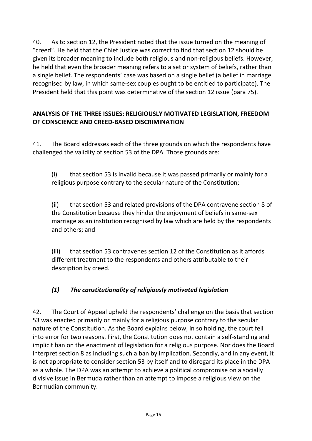40. As to section 12, the President noted that the issue turned on the meaning of "creed". He held that the Chief Justice was correct to find that section 12 should be given its broader meaning to include both religious and non-religious beliefs. However, he held that even the broader meaning refers to a set or system of beliefs, rather than a single belief. The respondents' case was based on a single belief (a belief in marriage recognised by law, in which same-sex couples ought to be entitled to participate). The President held that this point was determinative of the section 12 issue (para 75).

### **ANALYSIS OF THE THREE ISSUES: RELIGIOUSLY MOTIVATED LEGISLATION, FREEDOM OF CONSCIENCE AND CREED-BASED DISCRIMINATION**

41. The Board addresses each of the three grounds on which the respondents have challenged the validity of section 53 of the DPA. Those grounds are:

(i) that section 53 is invalid because it was passed primarily or mainly for a religious purpose contrary to the secular nature of the Constitution;

(ii) that section 53 and related provisions of the DPA contravene section 8 of the Constitution because they hinder the enjoyment of beliefs in same-sex marriage as an institution recognised by law which are held by the respondents and others; and

(iii) that section 53 contravenes section 12 of the Constitution as it affords different treatment to the respondents and others attributable to their description by creed.

# *(1) The constitutionality of religiously motivated legislation*

42. The Court of Appeal upheld the respondents' challenge on the basis that section 53 was enacted primarily or mainly for a religious purpose contrary to the secular nature of the Constitution. As the Board explains below, in so holding, the court fell into error for two reasons. First, the Constitution does not contain a self-standing and implicit ban on the enactment of legislation for a religious purpose. Nor does the Board interpret section 8 as including such a ban by implication. Secondly, and in any event, it is not appropriate to consider section 53 by itself and to disregard its place in the DPA as a whole. The DPA was an attempt to achieve a political compromise on a socially divisive issue in Bermuda rather than an attempt to impose a religious view on the Bermudian community.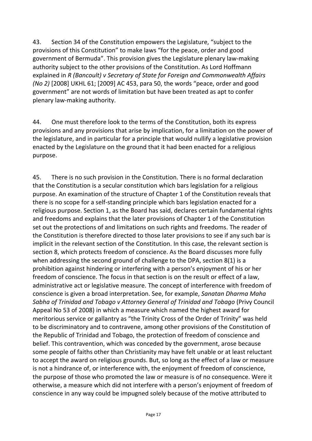43. Section 34 of the Constitution empowers the Legislature, "subject to the provisions of this Constitution" to make laws "for the peace, order and good government of Bermuda". This provision gives the Legislature plenary law-making authority subject to the other provisions of the Constitution. As Lord Hoffmann explained in *R (Bancoult) v Secretary of State for Foreign and Commonwealth Affairs (No 2)* [2008] UKHL 61; [2009] AC 453, para 50, the words "peace, order and good government" are not words of limitation but have been treated as apt to confer plenary law-making authority.

44. One must therefore look to the terms of the Constitution, both its express provisions and any provisions that arise by implication, for a limitation on the power of the legislature, and in particular for a principle that would nullify a legislative provision enacted by the Legislature on the ground that it had been enacted for a religious purpose.

45. There is no such provision in the Constitution. There is no formal declaration that the Constitution is a secular constitution which bars legislation for a religious purpose. An examination of the structure of Chapter 1 of the Constitution reveals that there is no scope for a self-standing principle which bars legislation enacted for a religious purpose. Section 1, as the Board has said, declares certain fundamental rights and freedoms and explains that the later provisions of Chapter 1 of the Constitution set out the protections of and limitations on such rights and freedoms. The reader of the Constitution is therefore directed to those later provisions to see if any such bar is implicit in the relevant section of the Constitution. In this case, the relevant section is section 8, which protects freedom of conscience. As the Board discusses more fully when addressing the second ground of challenge to the DPA, section 8(1) is a prohibition against hindering or interfering with a person's enjoyment of his or her freedom of conscience. The focus in that section is on the result or effect of a law, administrative act or legislative measure. The concept of interference with freedom of conscience is given a broad interpretation. See, for example, *Sanatan Dharma Maha Sabha of Trinidad and Tobago v Attorney General of Trinidad and Tobago* (Privy Council Appeal No 53 of 2008) in which a measure which named the highest award for meritorious service or gallantry as "the Trinity Cross of the Order of Trinity" was held to be discriminatory and to contravene, among other provisions of the Constitution of the Republic of Trinidad and Tobago, the protection of freedom of conscience and belief. This contravention, which was conceded by the government, arose because some people of faiths other than Christianity may have felt unable or at least reluctant to accept the award on religious grounds. But, so long as the effect of a law or measure is not a hindrance of, or interference with, the enjoyment of freedom of conscience, the purpose of those who promoted the law or measure is of no consequence. Were it otherwise, a measure which did not interfere with a person's enjoyment of freedom of conscience in any way could be impugned solely because of the motive attributed to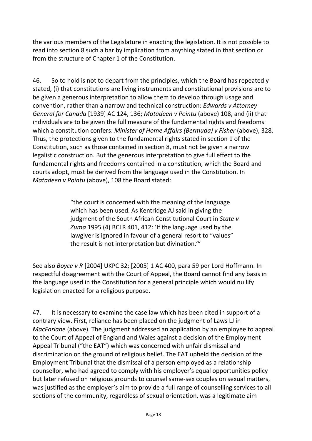the various members of the Legislature in enacting the legislation. It is not possible to read into section 8 such a bar by implication from anything stated in that section or from the structure of Chapter 1 of the Constitution.

46. So to hold is not to depart from the principles, which the Board has repeatedly stated, (i) that constitutions are living instruments and constitutional provisions are to be given a generous interpretation to allow them to develop through usage and convention, rather than a narrow and technical construction: *Edwards v Attorney General for Canada* [1939] AC 124, 136; *Matadeen v Pointu* (above) 108, and (ii) that individuals are to be given the full measure of the fundamental rights and freedoms which a constitution confers: *Minister of Home Affairs (Bermuda) v Fisher* (above), 328. Thus, the protections given to the fundamental rights stated in section 1 of the Constitution, such as those contained in section 8, must not be given a narrow legalistic construction. But the generous interpretation to give full effect to the fundamental rights and freedoms contained in a constitution, which the Board and courts adopt, must be derived from the language used in the Constitution. In *Matadeen v Pointu* (above), 108 the Board stated:

> "the court is concerned with the meaning of the language which has been used. As Kentridge AJ said in giving the judgment of the South African Constitutional Court in *State v Zuma* 1995 (4) BCLR 401, 412: 'If the language used by the lawgiver is ignored in favour of a general resort to "values" the result is not interpretation but divination.'"

See also *Boyce v R* [2004] UKPC 32; [2005] 1 AC 400, para 59 per Lord Hoffmann. In respectful disagreement with the Court of Appeal, the Board cannot find any basis in the language used in the Constitution for a general principle which would nullify legislation enacted for a religious purpose.

47. It is necessary to examine the case law which has been cited in support of a contrary view. First, reliance has been placed on the judgment of Laws LJ in *MacFarlane* (above). The judgment addressed an application by an employee to appeal to the Court of Appeal of England and Wales against a decision of the Employment Appeal Tribunal ("the EAT") which was concerned with unfair dismissal and discrimination on the ground of religious belief. The EAT upheld the decision of the Employment Tribunal that the dismissal of a person employed as a relationship counsellor, who had agreed to comply with his employer's equal opportunities policy but later refused on religious grounds to counsel same-sex couples on sexual matters, was justified as the employer's aim to provide a full range of counselling services to all sections of the community, regardless of sexual orientation, was a legitimate aim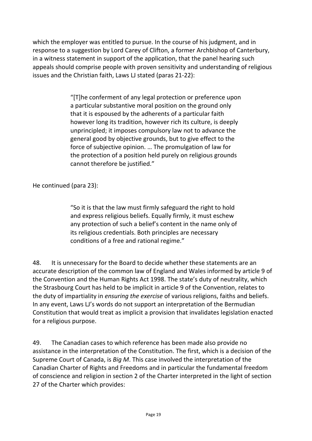which the employer was entitled to pursue. In the course of his judgment, and in response to a suggestion by Lord Carey of Clifton, a former Archbishop of Canterbury, in a witness statement in support of the application, that the panel hearing such appeals should comprise people with proven sensitivity and understanding of religious issues and the Christian faith, Laws LJ stated (paras 21-22):

> "[T]he conferment of any legal protection or preference upon a particular substantive moral position on the ground only that it is espoused by the adherents of a particular faith however long its tradition, however rich its culture, is deeply unprincipled; it imposes compulsory law not to advance the general good by objective grounds, but to give effect to the force of subjective opinion. … The promulgation of law for the protection of a position held purely on religious grounds cannot therefore be justified."

He continued (para 23):

"So it is that the law must firmly safeguard the right to hold and express religious beliefs. Equally firmly, it must eschew any protection of such a belief's content in the name only of its religious credentials. Both principles are necessary conditions of a free and rational regime."

48. It is unnecessary for the Board to decide whether these statements are an accurate description of the common law of England and Wales informed by article 9 of the Convention and the Human Rights Act 1998. The state's duty of neutrality, which the Strasbourg Court has held to be implicit in article 9 of the Convention, relates to the duty of impartiality in *ensuring the exercise* of various religions, faiths and beliefs. In any event, Laws LJ's words do not support an interpretation of the Bermudian Constitution that would treat as implicit a provision that invalidates legislation enacted for a religious purpose.

49. The Canadian cases to which reference has been made also provide no assistance in the interpretation of the Constitution. The first, which is a decision of the Supreme Court of Canada, is *Big M*. This case involved the interpretation of the Canadian Charter of Rights and Freedoms and in particular the fundamental freedom of conscience and religion in section 2 of the Charter interpreted in the light of section 27 of the Charter which provides: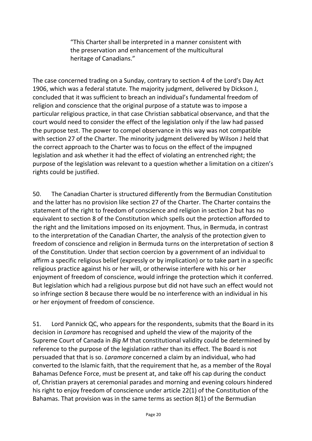"This Charter shall be interpreted in a manner consistent with the preservation and enhancement of the multicultural heritage of Canadians."

The case concerned trading on a Sunday, contrary to section 4 of the Lord's Day Act 1906, which was a federal statute. The majority judgment, delivered by Dickson J, concluded that it was sufficient to breach an individual's fundamental freedom of religion and conscience that the original purpose of a statute was to impose a particular religious practice, in that case Christian sabbatical observance, and that the court would need to consider the effect of the legislation only if the law had passed the purpose test. The power to compel observance in this way was not compatible with section 27 of the Charter. The minority judgment delivered by Wilson J held that the correct approach to the Charter was to focus on the effect of the impugned legislation and ask whether it had the effect of violating an entrenched right; the purpose of the legislation was relevant to a question whether a limitation on a citizen's rights could be justified.

50. The Canadian Charter is structured differently from the Bermudian Constitution and the latter has no provision like section 27 of the Charter. The Charter contains the statement of the right to freedom of conscience and religion in section 2 but has no equivalent to section 8 of the Constitution which spells out the protection afforded to the right and the limitations imposed on its enjoyment. Thus, in Bermuda, in contrast to the interpretation of the Canadian Charter, the analysis of the protection given to freedom of conscience and religion in Bermuda turns on the interpretation of section 8 of the Constitution. Under that section coercion by a government of an individual to affirm a specific religious belief (expressly or by implication) or to take part in a specific religious practice against his or her will, or otherwise interfere with his or her enjoyment of freedom of conscience, would infringe the protection which it conferred. But legislation which had a religious purpose but did not have such an effect would not so infringe section 8 because there would be no interference with an individual in his or her enjoyment of freedom of conscience.

51. Lord Pannick QC, who appears for the respondents, submits that the Board in its decision in *Laramore* has recognised and upheld the view of the majority of the Supreme Court of Canada in *Big M* that constitutional validity could be determined by reference to the purpose of the legislation rather than its effect. The Board is not persuaded that that is so. *Laramore* concerned a claim by an individual, who had converted to the Islamic faith, that the requirement that he, as a member of the Royal Bahamas Defence Force, must be present at, and take off his cap during the conduct of, Christian prayers at ceremonial parades and morning and evening colours hindered his right to enjoy freedom of conscience under article 22(1) of the Constitution of the Bahamas. That provision was in the same terms as section 8(1) of the Bermudian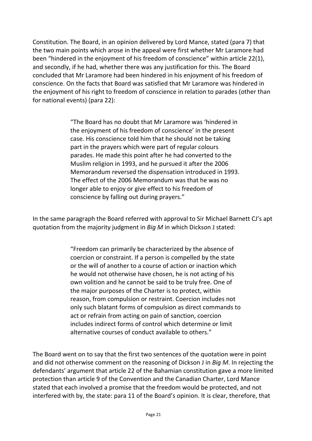Constitution. The Board, in an opinion delivered by Lord Mance, stated (para 7) that the two main points which arose in the appeal were first whether Mr Laramore had been "hindered in the enjoyment of his freedom of conscience" within article 22(1), and secondly, if he had, whether there was any justification for this. The Board concluded that Mr Laramore had been hindered in his enjoyment of his freedom of conscience. On the facts that Board was satisfied that Mr Laramore was hindered in the enjoyment of his right to freedom of conscience in relation to parades (other than for national events) (para 22):

> "The Board has no doubt that Mr Laramore was 'hindered in the enjoyment of his freedom of conscience' in the present case. His conscience told him that he should not be taking part in the prayers which were part of regular colours parades. He made this point after he had converted to the Muslim religion in 1993, and he pursued it after the 2006 Memorandum reversed the dispensation introduced in 1993. The effect of the 2006 Memorandum was that he was no longer able to enjoy or give effect to his freedom of conscience by falling out during prayers."

In the same paragraph the Board referred with approval to Sir Michael Barnett CJ's apt quotation from the majority judgment in *Big M* in which Dickson J stated:

> "Freedom can primarily be characterized by the absence of coercion or constraint. If a person is compelled by the state or the will of another to a course of action or inaction which he would not otherwise have chosen, he is not acting of his own volition and he cannot be said to be truly free. One of the major purposes of the Charter is to protect, within reason, from compulsion or restraint. Coercion includes not only such blatant forms of compulsion as direct commands to act or refrain from acting on pain of sanction, coercion includes indirect forms of control which determine or limit alternative courses of conduct available to others."

The Board went on to say that the first two sentences of the quotation were in point and did not otherwise comment on the reasoning of Dickson J in *Big M*. In rejecting the defendants' argument that article 22 of the Bahamian constitution gave a more limited protection than article 9 of the Convention and the Canadian Charter, Lord Mance stated that each involved a promise that the freedom would be protected, and not interfered with by, the state: para 11 of the Board's opinion. It is clear, therefore, that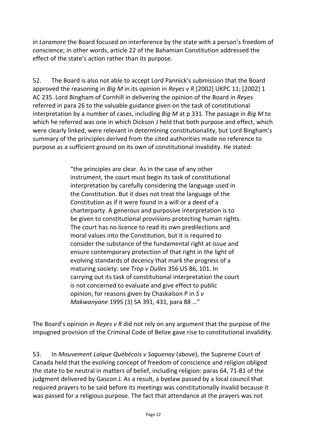in *Laramore* the Board focused on interference by the state with a person's freedom of conscience; in other words, article 22 of the Bahamian Constitution addressed the effect of the state's action rather than its purpose.

52. The Board is also not able to accept Lord Pannick's submission that the Board approved the reasoning in *Big M* in its opinion in *Reyes v R* [2002] UKPC 11; [2002] 1 AC 235. Lord Bingham of Cornhill in delivering the opinion of the Board in *Reyes* referred in para 26 to the valuable guidance given on the task of constitutional interpretation by a number of cases, including *Big M* at p 331. The passage in *Big M* to which he referred was one in which Dickson J held that both purpose and effect, which were clearly linked, were relevant in determining constitutionality, but Lord Bingham's summary of the principles derived from the cited authorities made no reference to purpose as a sufficient ground on its own of constitutional invalidity. He stated:

> "the principles are clear. As in the case of any other instrument, the court must begin its task of constitutional interpretation by carefully considering the language used in the Constitution. But it does not treat the language of the Constitution as if it were found in a will or a deed of a charterparty. A generous and purposive interpretation is to be given to constitutional provisions protecting human rights. The court has no licence to read its own predilections and moral values into the Constitution, but it is required to consider the substance of the fundamental right at issue and ensure contemporary protection of that right in the light of evolving standards of decency that mark the progress of a maturing society: see *Trop v Dulles* 356 US 86, 101. In carrying out its task of constitutional interpretation the court is not concerned to evaluate and give effect to public opinion, for reasons given by Chaskalson P in *S v Makwanyane* 1995 (3) SA 391, 431, para 88 …"

The Board's opinion in *Reyes v R* did not rely on any argument that the purpose of the impugned provision of the Criminal Code of Belize gave rise to constitutional invalidity.

53. In *Mouvement Laïque Québécois v Saguenay* (above), the Supreme Court of Canada held that the evolving concept of freedom of conscience and religion obliged the state to be neutral in matters of belief, including religion: paras 64, 71-81 of the judgment delivered by Gascon J. As a result, a byelaw passed by a local council that required prayers to be said before its meetings was constitutionally invalid because it was passed for a religious purpose. The fact that attendance at the prayers was not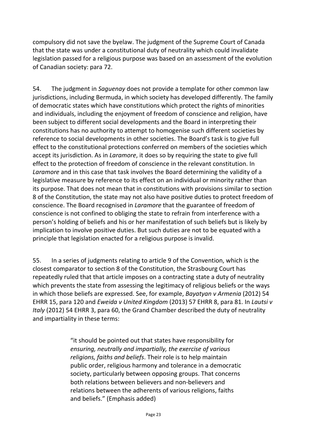compulsory did not save the byelaw. The judgment of the Supreme Court of Canada that the state was under a constitutional duty of neutrality which could invalidate legislation passed for a religious purpose was based on an assessment of the evolution of Canadian society: para 72.

54. The judgment in *Saguenay* does not provide a template for other common law jurisdictions, including Bermuda, in which society has developed differently. The family of democratic states which have constitutions which protect the rights of minorities and individuals, including the enjoyment of freedom of conscience and religion, have been subject to different social developments and the Board in interpreting their constitutions has no authority to attempt to homogenise such different societies by reference to social developments in other societies. The Board's task is to give full effect to the constitutional protections conferred on members of the societies which accept its jurisdiction. As in *Laramore*, it does so by requiring the state to give full effect to the protection of freedom of conscience in the relevant constitution. In *Laramore* and in this case that task involves the Board determining the validity of a legislative measure by reference to its effect on an individual or minority rather than its purpose. That does not mean that in constitutions with provisions similar to section 8 of the Constitution, the state may not also have positive duties to protect freedom of conscience. The Board recognised in *Laramore* that the guarantee of freedom of conscience is not confined to obliging the state to refrain from interference with a person's holding of beliefs and his or her manifestation of such beliefs but is likely by implication to involve positive duties. But such duties are not to be equated with a principle that legislation enacted for a religious purpose is invalid.

55. In a series of judgments relating to article 9 of the Convention, which is the closest comparator to section 8 of the Constitution, the Strasbourg Court has repeatedly ruled that that article imposes on a contracting state a duty of neutrality which prevents the state from assessing the legitimacy of religious beliefs or the ways in which those beliefs are expressed. See, for example, *Bayatyan v Armenia* (2012) 54 EHRR 15, para 120 and *Eweida v United Kingdom* (2013) 57 EHRR 8, para 81. In *Lautsi v Italy* (2012) 54 EHRR 3, para 60, the Grand Chamber described the duty of neutrality and impartiality in these terms:

> "it should be pointed out that states have responsibility for *ensuring, neutrally and impartially, the exercise of various religions, faiths and beliefs*. Their role is to help maintain public order, religious harmony and tolerance in a democratic society, particularly between opposing groups. That concerns both relations between believers and non-believers and relations between the adherents of various religions, faiths and beliefs." (Emphasis added)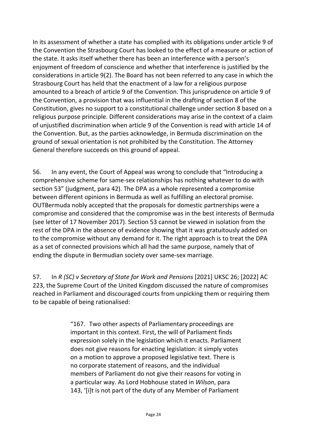In its assessment of whether a state has complied with its obligations under article 9 of the Convention the Strasbourg Court has looked to the effect of a measure or action of the state. It asks itself whether there has been an interference with a person's enjoyment of freedom of conscience and whether that interference is justified by the considerations in article 9(2). The Board has not been referred to any case in which the Strasbourg Court has held that the enactment of a law for a religious purpose amounted to a breach of article 9 of the Convention. This jurisprudence on article 9 of the Convention, a provision that was influential in the drafting of section 8 of the Constitution, gives no support to a constitutional challenge under section 8 based on a religious purpose principle. Different considerations may arise in the context of a claim of unjustified discrimination when article 9 of the Convention is read with article 14 of the Convention. But, as the parties acknowledge, in Bermuda discrimination on the ground of sexual orientation is not prohibited by the Constitution. The Attorney General therefore succeeds on this ground of appeal.

56. In any event, the Court of Appeal was wrong to conclude that "Introducing a comprehensive scheme for same-sex relationships has nothing whatever to do with section 53" (judgment, para 42). The DPA as a whole represented a compromise between different opinions in Bermuda as well as fulfilling an electoral promise. OUTBermuda nobly accepted that the proposals for domestic partnerships were a compromise and considered that the compromise was in the best interests of Bermuda (see letter of 17 November 2017). Section 53 cannot be viewed in isolation from the rest of the DPA in the absence of evidence showing that it was gratuitously added on to the compromise without any demand for it. The right approach is to treat the DPA as a set of connected provisions which all had the same purpose, namely that of ending the dispute in Bermudian society over same-sex marriage.

57. In *R (SC) v Secretary of State for Work and Pensions* [2021] UKSC 26; [2022] AC 223, the Supreme Court of the United Kingdom discussed the nature of compromises reached in Parliament and discouraged courts from unpicking them or requiring them to be capable of being rationalised:

> "167. Two other aspects of Parliamentary proceedings are important in this context. First, the will of Parliament finds expression solely in the legislation which it enacts. Parliament does not give reasons for enacting legislation: it simply votes on a motion to approve a proposed legislative text. There is no corporate statement of reasons, and the individual members of Parliament do not give their reasons for voting in a particular way. As Lord Hobhouse stated in *Wilson*, para 143, '[i]t is not part of the duty of any Member of Parliament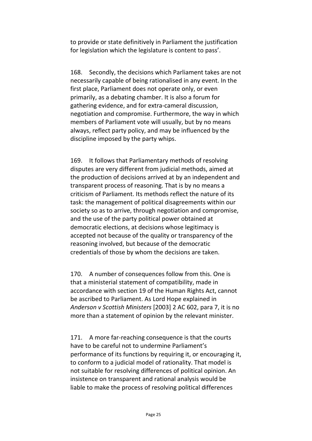to provide or state definitively in Parliament the justification for legislation which the legislature is content to pass'.

168. Secondly, the decisions which Parliament takes are not necessarily capable of being rationalised in any event. In the first place, Parliament does not operate only, or even primarily, as a debating chamber. It is also a forum for gathering evidence, and for extra-cameral discussion, negotiation and compromise. Furthermore, the way in which members of Parliament vote will usually, but by no means always, reflect party policy, and may be influenced by the discipline imposed by the party whips.

169. It follows that Parliamentary methods of resolving disputes are very different from judicial methods, aimed at the production of decisions arrived at by an independent and transparent process of reasoning. That is by no means a criticism of Parliament. Its methods reflect the nature of its task: the management of political disagreements within our society so as to arrive, through negotiation and compromise, and the use of the party political power obtained at democratic elections, at decisions whose legitimacy is accepted not because of the quality or transparency of the reasoning involved, but because of the democratic credentials of those by whom the decisions are taken.

170. A number of consequences follow from this. One is that a ministerial statement of compatibility, made in accordance with section 19 of the Human Rights Act, cannot be ascribed to Parliament. As Lord Hope explained in *Anderson v Scottish Ministers* [2003] 2 AC 602, para 7, it is no more than a statement of opinion by the relevant minister.

171. A more far-reaching consequence is that the courts have to be careful not to undermine Parliament's performance of its functions by requiring it, or encouraging it, to conform to a judicial model of rationality. That model is not suitable for resolving differences of political opinion. An insistence on transparent and rational analysis would be liable to make the process of resolving political differences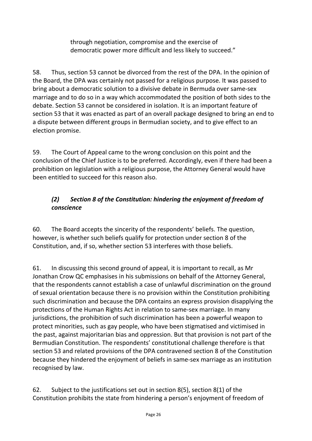through negotiation, compromise and the exercise of democratic power more difficult and less likely to succeed."

58. Thus, section 53 cannot be divorced from the rest of the DPA. In the opinion of the Board, the DPA was certainly not passed for a religious purpose. It was passed to bring about a democratic solution to a divisive debate in Bermuda over same-sex marriage and to do so in a way which accommodated the position of both sides to the debate. Section 53 cannot be considered in isolation. It is an important feature of section 53 that it was enacted as part of an overall package designed to bring an end to a dispute between different groups in Bermudian society, and to give effect to an election promise.

59. The Court of Appeal came to the wrong conclusion on this point and the conclusion of the Chief Justice is to be preferred. Accordingly, even if there had been a prohibition on legislation with a religious purpose, the Attorney General would have been entitled to succeed for this reason also.

# *(2) Section 8 of the Constitution: hindering the enjoyment of freedom of conscience*

60. The Board accepts the sincerity of the respondents' beliefs. The question, however, is whether such beliefs qualify for protection under section 8 of the Constitution, and, if so, whether section 53 interferes with those beliefs.

61. In discussing this second ground of appeal, it is important to recall, as Mr Jonathan Crow QC emphasises in his submissions on behalf of the Attorney General, that the respondents cannot establish a case of unlawful discrimination on the ground of sexual orientation because there is no provision within the Constitution prohibiting such discrimination and because the DPA contains an express provision disapplying the protections of the Human Rights Act in relation to same-sex marriage. In many jurisdictions, the prohibition of such discrimination has been a powerful weapon to protect minorities, such as gay people, who have been stigmatised and victimised in the past, against majoritarian bias and oppression. But that provision is not part of the Bermudian Constitution. The respondents' constitutional challenge therefore is that section 53 and related provisions of the DPA contravened section 8 of the Constitution because they hindered the enjoyment of beliefs in same-sex marriage as an institution recognised by law.

62. Subject to the justifications set out in section 8(5), section 8(1) of the Constitution prohibits the state from hindering a person's enjoyment of freedom of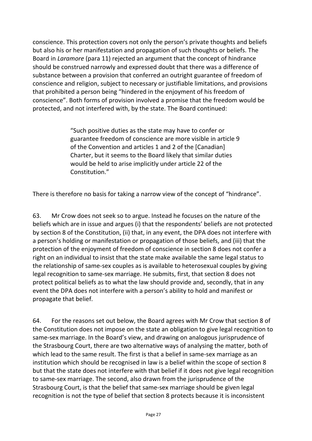conscience. This protection covers not only the person's private thoughts and beliefs but also his or her manifestation and propagation of such thoughts or beliefs. The Board in *Laramore* (para 11) rejected an argument that the concept of hindrance should be construed narrowly and expressed doubt that there was a difference of substance between a provision that conferred an outright guarantee of freedom of conscience and religion, subject to necessary or justifiable limitations, and provisions that prohibited a person being "hindered in the enjoyment of his freedom of conscience". Both forms of provision involved a promise that the freedom would be protected, and not interfered with, by the state. The Board continued:

> "Such positive duties as the state may have to confer or guarantee freedom of conscience are more visible in article 9 of the Convention and articles 1 and 2 of the [Canadian] Charter, but it seems to the Board likely that similar duties would be held to arise implicitly under article 22 of the Constitution."

There is therefore no basis for taking a narrow view of the concept of "hindrance".

63. Mr Crow does not seek so to argue. Instead he focuses on the nature of the beliefs which are in issue and argues (i) that the respondents' beliefs are not protected by section 8 of the Constitution, (ii) that, in any event, the DPA does not interfere with a person's holding or manifestation or propagation of those beliefs, and (iii) that the protection of the enjoyment of freedom of conscience in section 8 does not confer a right on an individual to insist that the state make available the same legal status to the relationship of same-sex couples as is available to heterosexual couples by giving legal recognition to same-sex marriage. He submits, first, that section 8 does not protect political beliefs as to what the law should provide and, secondly, that in any event the DPA does not interfere with a person's ability to hold and manifest or propagate that belief.

64. For the reasons set out below, the Board agrees with Mr Crow that section 8 of the Constitution does not impose on the state an obligation to give legal recognition to same-sex marriage. In the Board's view, and drawing on analogous jurisprudence of the Strasbourg Court, there are two alternative ways of analysing the matter, both of which lead to the same result. The first is that a belief in same-sex marriage as an institution which should be recognised in law is a belief within the scope of section 8 but that the state does not interfere with that belief if it does not give legal recognition to same-sex marriage. The second, also drawn from the jurisprudence of the Strasbourg Court, is that the belief that same-sex marriage should be given legal recognition is not the type of belief that section 8 protects because it is inconsistent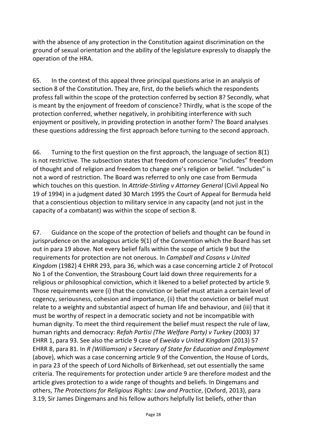with the absence of any protection in the Constitution against discrimination on the ground of sexual orientation and the ability of the legislature expressly to disapply the operation of the HRA.

65. In the context of this appeal three principal questions arise in an analysis of section 8 of the Constitution. They are, first, do the beliefs which the respondents profess fall within the scope of the protection conferred by section 8? Secondly, what is meant by the enjoyment of freedom of conscience? Thirdly, what is the scope of the protection conferred, whether negatively, in prohibiting interference with such enjoyment or positively, in providing protection in another form? The Board analyses these questions addressing the first approach before turning to the second approach.

66. Turning to the first question on the first approach, the language of section 8(1) is not restrictive. The subsection states that freedom of conscience "includes" freedom of thought and of religion and freedom to change one's religion or belief. "Includes" is not a word of restriction. The Board was referred to only one case from Bermuda which touches on this question. In *Attride-Stirling v Attorney General* (Civil Appeal No 19 of 1994) in a judgment dated 30 March 1995 the Court of Appeal for Bermuda held that a conscientious objection to military service in any capacity (and not just in the capacity of a combatant) was within the scope of section 8.

67. Guidance on the scope of the protection of beliefs and thought can be found in jurisprudence on the analogous article 9(1) of the Convention which the Board has set out in para 19 above. Not every belief falls within the scope of article 9 but the requirements for protection are not onerous. In *Campbell and Cosans v United Kingdom* (1982) 4 EHRR 293, para 36, which was a case concerning article 2 of Protocol No 1 of the Convention, the Strasbourg Court laid down three requirements for a religious or philosophical conviction, which it likened to a belief protected by article 9. Those requirements were (i) that the conviction or belief must attain a certain level of cogency, seriousness, cohesion and importance, (ii) that the conviction or belief must relate to a weighty and substantial aspect of human life and behaviour, and (iii) that it must be worthy of respect in a democratic society and not be incompatible with human dignity. To meet the third requirement the belief must respect the rule of law, human rights and democracy: *Refah Partisi (The Welfare Party) v Turkey* (2003) 37 EHRR 1, para 93. See also the article 9 case of *Eweida v United Kingdom* (2013) 57 EHRR 8, para 81. In *R (Williamson) v Secretary of State for Education and Employment*  (above), which was a case concerning article 9 of the Convention, the House of Lords, in para 23 of the speech of Lord Nicholls of Birkenhead, set out essentially the same criteria. The requirements for protection under article 9 are therefore modest and the article gives protection to a wide range of thoughts and beliefs. In Dingemans and others, *The Protections for Religious Rights: Law and Practice*, (Oxford, 2013), para 3.19, Sir James Dingemans and his fellow authors helpfully list beliefs, other than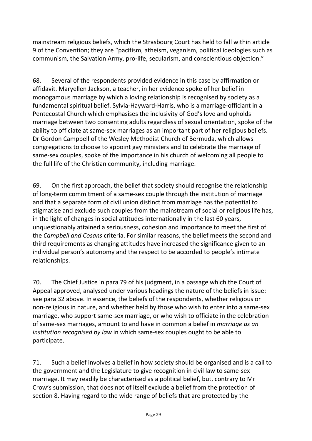mainstream religious beliefs, which the Strasbourg Court has held to fall within article 9 of the Convention; they are "pacifism, atheism, veganism, political ideologies such as communism, the Salvation Army, pro-life, secularism, and conscientious objection."

68. Several of the respondents provided evidence in this case by affirmation or affidavit. Maryellen Jackson, a teacher, in her evidence spoke of her belief in monogamous marriage by which a loving relationship is recognised by society as a fundamental spiritual belief. Sylvia-Hayward-Harris, who is a marriage-officiant in a Pentecostal Church which emphasises the inclusivity of God's love and upholds marriage between two consenting adults regardless of sexual orientation, spoke of the ability to officiate at same-sex marriages as an important part of her religious beliefs. Dr Gordon Campbell of the Wesley Methodist Church of Bermuda, which allows congregations to choose to appoint gay ministers and to celebrate the marriage of same-sex couples, spoke of the importance in his church of welcoming all people to the full life of the Christian community, including marriage.

69. On the first approach, the belief that society should recognise the relationship of long-term commitment of a same-sex couple through the institution of marriage and that a separate form of civil union distinct from marriage has the potential to stigmatise and exclude such couples from the mainstream of social or religious life has, in the light of changes in social attitudes internationally in the last 60 years, unquestionably attained a seriousness, cohesion and importance to meet the first of the *Campbell and Cosans* criteria. For similar reasons, the belief meets the second and third requirements as changing attitudes have increased the significance given to an individual person's autonomy and the respect to be accorded to people's intimate relationships.

70. The Chief Justice in para 79 of his judgment, in a passage which the Court of Appeal approved, analysed under various headings the nature of the beliefs in issue: see para 32 above. In essence, the beliefs of the respondents, whether religious or non-religious in nature, and whether held by those who wish to enter into a same-sex marriage, who support same-sex marriage, or who wish to officiate in the celebration of same-sex marriages, amount to and have in common a belief in *marriage as an institution recognised by law* in which same-sex couples ought to be able to participate.

71. Such a belief involves a belief in how society should be organised and is a call to the government and the Legislature to give recognition in civil law to same-sex marriage. It may readily be characterised as a political belief, but, contrary to Mr Crow's submission, that does not of itself exclude a belief from the protection of section 8. Having regard to the wide range of beliefs that are protected by the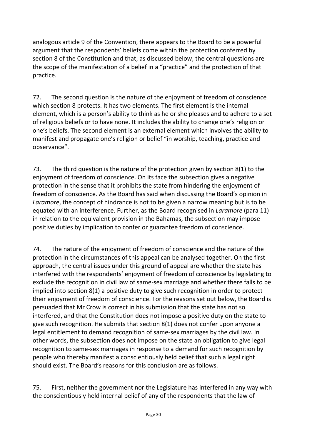analogous article 9 of the Convention, there appears to the Board to be a powerful argument that the respondents' beliefs come within the protection conferred by section 8 of the Constitution and that, as discussed below, the central questions are the scope of the manifestation of a belief in a "practice" and the protection of that practice.

72. The second question is the nature of the enjoyment of freedom of conscience which section 8 protects. It has two elements. The first element is the internal element, which is a person's ability to think as he or she pleases and to adhere to a set of religious beliefs or to have none. It includes the ability to change one's religion or one's beliefs. The second element is an external element which involves the ability to manifest and propagate one's religion or belief "in worship, teaching, practice and observance".

73. The third question is the nature of the protection given by section 8(1) to the enjoyment of freedom of conscience. On its face the subsection gives a negative protection in the sense that it prohibits the state from hindering the enjoyment of freedom of conscience. As the Board has said when discussing the Board's opinion in *Laramore*, the concept of hindrance is not to be given a narrow meaning but is to be equated with an interference. Further, as the Board recognised in *Laramore* (para 11) in relation to the equivalent provision in the Bahamas, the subsection may impose positive duties by implication to confer or guarantee freedom of conscience.

74. The nature of the enjoyment of freedom of conscience and the nature of the protection in the circumstances of this appeal can be analysed together. On the first approach, the central issues under this ground of appeal are whether the state has interfered with the respondents' enjoyment of freedom of conscience by legislating to exclude the recognition in civil law of same-sex marriage and whether there falls to be implied into section 8(1) a positive duty to give such recognition in order to protect their enjoyment of freedom of conscience. For the reasons set out below, the Board is persuaded that Mr Crow is correct in his submission that the state has not so interfered, and that the Constitution does not impose a positive duty on the state to give such recognition. He submits that section 8(1) does not confer upon anyone a legal entitlement to demand recognition of same-sex marriages by the civil law. In other words, the subsection does not impose on the state an obligation to give legal recognition to same-sex marriages in response to a demand for such recognition by people who thereby manifest a conscientiously held belief that such a legal right should exist. The Board's reasons for this conclusion are as follows.

75. First, neither the government nor the Legislature has interfered in any way with the conscientiously held internal belief of any of the respondents that the law of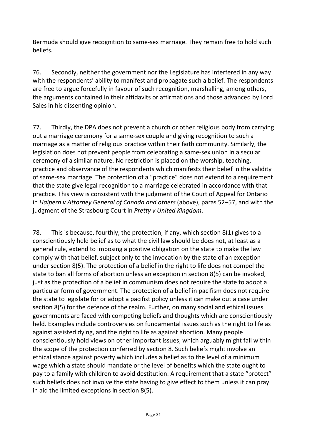Bermuda should give recognition to same-sex marriage. They remain free to hold such beliefs.

76. Secondly, neither the government nor the Legislature has interfered in any way with the respondents' ability to manifest and propagate such a belief. The respondents are free to argue forcefully in favour of such recognition, marshalling, among others, the arguments contained in their affidavits or affirmations and those advanced by Lord Sales in his dissenting opinion.

77. Thirdly, the DPA does not prevent a church or other religious body from carrying out a marriage ceremony for a same-sex couple and giving recognition to such a marriage as a matter of religious practice within their faith community. Similarly, the legislation does not prevent people from celebrating a same-sex union in a secular ceremony of a similar nature. No restriction is placed on the worship, teaching, practice and observance of the respondents which manifests their belief in the validity of same-sex marriage. The protection of a "practice" does not extend to a requirement that the state give legal recognition to a marriage celebrated in accordance with that practice. This view is consistent with the judgment of the Court of Appeal for Ontario in *Halpern v Attorney General of Canada and others* (above), paras 52–57, and with the judgment of the Strasbourg Court in *Pretty v United Kingdom*.

78. This is because, fourthly, the protection, if any, which section 8(1) gives to a conscientiously held belief as to what the civil law should be does not, at least as a general rule, extend to imposing a positive obligation on the state to make the law comply with that belief, subject only to the invocation by the state of an exception under section 8(5). The protection of a belief in the right to life does not compel the state to ban all forms of abortion unless an exception in section 8(5) can be invoked, just as the protection of a belief in communism does not require the state to adopt a particular form of government. The protection of a belief in pacifism does not require the state to legislate for or adopt a pacifist policy unless it can make out a case under section 8(5) for the defence of the realm. Further, on many social and ethical issues governments are faced with competing beliefs and thoughts which are conscientiously held. Examples include controversies on fundamental issues such as the right to life as against assisted dying, and the right to life as against abortion. Many people conscientiously hold views on other important issues, which arguably might fall within the scope of the protection conferred by section 8. Such beliefs might involve an ethical stance against poverty which includes a belief as to the level of a minimum wage which a state should mandate or the level of benefits which the state ought to pay to a family with children to avoid destitution. A requirement that a state "protect" such beliefs does not involve the state having to give effect to them unless it can pray in aid the limited exceptions in section 8(5).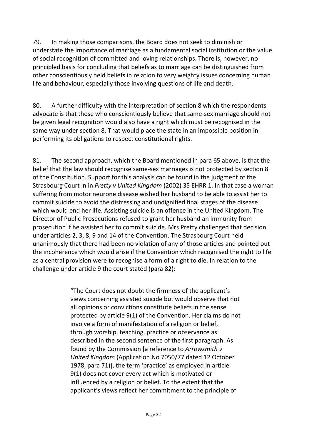79. In making those comparisons, the Board does not seek to diminish or understate the importance of marriage as a fundamental social institution or the value of social recognition of committed and loving relationships. There is, however, no principled basis for concluding that beliefs as to marriage can be distinguished from other conscientiously held beliefs in relation to very weighty issues concerning human life and behaviour, especially those involving questions of life and death.

80. A further difficulty with the interpretation of section 8 which the respondents advocate is that those who conscientiously believe that same-sex marriage should not be given legal recognition would also have a right which must be recognised in the same way under section 8. That would place the state in an impossible position in performing its obligations to respect constitutional rights.

81. The second approach, which the Board mentioned in para 65 above, is that the belief that the law should recognise same-sex marriages is not protected by section 8 of the Constitution. Support for this analysis can be found in the judgment of the Strasbourg Court in in *Pretty v United Kingdom* (2002) 35 EHRR 1. In that case a woman suffering from motor neurone disease wished her husband to be able to assist her to commit suicide to avoid the distressing and undignified final stages of the disease which would end her life. Assisting suicide is an offence in the United Kingdom. The Director of Public Prosecutions refused to grant her husband an immunity from prosecution if he assisted her to commit suicide. Mrs Pretty challenged that decision under articles 2, 3, 8, 9 and 14 of the Convention. The Strasbourg Court held unanimously that there had been no violation of any of those articles and pointed out the incoherence which would arise if the Convention which recognised the right to life as a central provision were to recognise a form of a right to die. In relation to the challenge under article 9 the court stated (para 82):

> "The Court does not doubt the firmness of the applicant's views concerning assisted suicide but would observe that not all opinions or convictions constitute beliefs in the sense protected by article 9(1) of the Convention. Her claims do not involve a form of manifestation of a religion or belief, through worship, teaching, practice or observance as described in the second sentence of the first paragraph. As found by the Commission [a reference to *Arrowsmith v United Kingdom* (Application No 7050/77 dated 12 October 1978, para 71)], the term 'practice' as employed in article 9(1) does not cover every act which is motivated or influenced by a religion or belief. To the extent that the applicant's views reflect her commitment to the principle of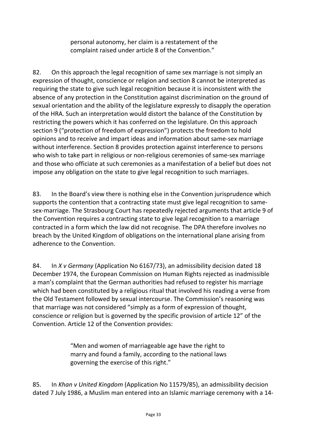personal autonomy, her claim is a restatement of the complaint raised under article 8 of the Convention."

82. On this approach the legal recognition of same sex marriage is not simply an expression of thought, conscience or religion and section 8 cannot be interpreted as requiring the state to give such legal recognition because it is inconsistent with the absence of any protection in the Constitution against discrimination on the ground of sexual orientation and the ability of the legislature expressly to disapply the operation of the HRA. Such an interpretation would distort the balance of the Constitution by restricting the powers which it has conferred on the legislature. On this approach section 9 ("protection of freedom of expression") protects the freedom to hold opinions and to receive and impart ideas and information about same-sex marriage without interference. Section 8 provides protection against interference to persons who wish to take part in religious or non-religious ceremonies of same-sex marriage and those who officiate at such ceremonies as a manifestation of a belief but does not impose any obligation on the state to give legal recognition to such marriages.

83. In the Board's view there is nothing else in the Convention jurisprudence which supports the contention that a contracting state must give legal recognition to samesex-marriage. The Strasbourg Court has repeatedly rejected arguments that article 9 of the Convention requires a contracting state to give legal recognition to a marriage contracted in a form which the law did not recognise. The DPA therefore involves no breach by the United Kingdom of obligations on the international plane arising from adherence to the Convention.

84. In *X v Germany* (Application No 6167/73), an admissibility decision dated 18 December 1974, the European Commission on Human Rights rejected as inadmissible a man's complaint that the German authorities had refused to register his marriage which had been constituted by a religious ritual that involved his reading a verse from the Old Testament followed by sexual intercourse. The Commission's reasoning was that marriage was not considered "simply as a form of expression of thought, conscience or religion but is governed by the specific provision of article 12" of the Convention. Article 12 of the Convention provides:

> "Men and women of marriageable age have the right to marry and found a family, according to the national laws governing the exercise of this right."

85. In *Khan v United Kingdom* (Application No 11579/85), an admissibility decision dated 7 July 1986, a Muslim man entered into an Islamic marriage ceremony with a 14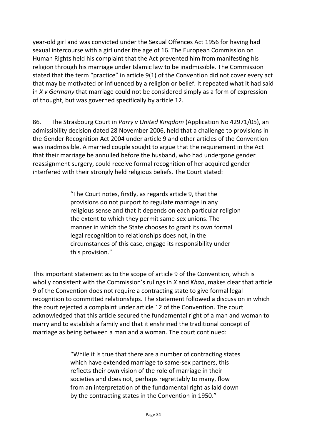year-old girl and was convicted under the Sexual Offences Act 1956 for having had sexual intercourse with a girl under the age of 16. The European Commission on Human Rights held his complaint that the Act prevented him from manifesting his religion through his marriage under Islamic law to be inadmissible. The Commission stated that the term "practice" in article 9(1) of the Convention did not cover every act that may be motivated or influenced by a religion or belief. It repeated what it had said in *X v Germany* that marriage could not be considered simply as a form of expression of thought, but was governed specifically by article 12.

86. The Strasbourg Court in *Parry v United Kingdom* (Application No 42971/05), an admissibility decision dated 28 November 2006, held that a challenge to provisions in the Gender Recognition Act 2004 under article 9 and other articles of the Convention was inadmissible. A married couple sought to argue that the requirement in the Act that their marriage be annulled before the husband, who had undergone gender reassignment surgery, could receive formal recognition of her acquired gender interfered with their strongly held religious beliefs. The Court stated:

> "The Court notes, firstly, as regards article 9, that the provisions do not purport to regulate marriage in any religious sense and that it depends on each particular religion the extent to which they permit same-sex unions. The manner in which the State chooses to grant its own formal legal recognition to relationships does not, in the circumstances of this case, engage its responsibility under this provision."

This important statement as to the scope of article 9 of the Convention, which is wholly consistent with the Commission's rulings in *X* and *Khan*, makes clear that article 9 of the Convention does not require a contracting state to give formal legal recognition to committed relationships. The statement followed a discussion in which the court rejected a complaint under article 12 of the Convention. The court acknowledged that this article secured the fundamental right of a man and woman to marry and to establish a family and that it enshrined the traditional concept of marriage as being between a man and a woman. The court continued:

> "While it is true that there are a number of contracting states which have extended marriage to same-sex partners, this reflects their own vision of the role of marriage in their societies and does not, perhaps regrettably to many, flow from an interpretation of the fundamental right as laid down by the contracting states in the Convention in 1950."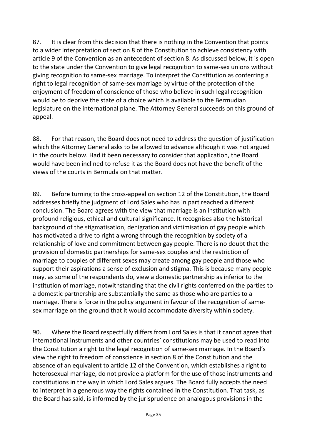87. It is clear from this decision that there is nothing in the Convention that points to a wider interpretation of section 8 of the Constitution to achieve consistency with article 9 of the Convention as an antecedent of section 8. As discussed below, it is open to the state under the Convention to give legal recognition to same-sex unions without giving recognition to same-sex marriage. To interpret the Constitution as conferring a right to legal recognition of same-sex marriage by virtue of the protection of the enjoyment of freedom of conscience of those who believe in such legal recognition would be to deprive the state of a choice which is available to the Bermudian legislature on the international plane. The Attorney General succeeds on this ground of appeal.

88. For that reason, the Board does not need to address the question of justification which the Attorney General asks to be allowed to advance although it was not argued in the courts below. Had it been necessary to consider that application, the Board would have been inclined to refuse it as the Board does not have the benefit of the views of the courts in Bermuda on that matter.

89. Before turning to the cross-appeal on section 12 of the Constitution, the Board addresses briefly the judgment of Lord Sales who has in part reached a different conclusion. The Board agrees with the view that marriage is an institution with profound religious, ethical and cultural significance. It recognises also the historical background of the stigmatisation, denigration and victimisation of gay people which has motivated a drive to right a wrong through the recognition by society of a relationship of love and commitment between gay people. There is no doubt that the provision of domestic partnerships for same-sex couples and the restriction of marriage to couples of different sexes may create among gay people and those who support their aspirations a sense of exclusion and stigma. This is because many people may, as some of the respondents do, view a domestic partnership as inferior to the institution of marriage, notwithstanding that the civil rights conferred on the parties to a domestic partnership are substantially the same as those who are parties to a marriage. There is force in the policy argument in favour of the recognition of samesex marriage on the ground that it would accommodate diversity within society.

90. Where the Board respectfully differs from Lord Sales is that it cannot agree that international instruments and other countries' constitutions may be used to read into the Constitution a right to the legal recognition of same-sex marriage. In the Board's view the right to freedom of conscience in section 8 of the Constitution and the absence of an equivalent to article 12 of the Convention, which establishes a right to heterosexual marriage, do not provide a platform for the use of those instruments and constitutions in the way in which Lord Sales argues. The Board fully accepts the need to interpret in a generous way the rights contained in the Constitution. That task, as the Board has said, is informed by the jurisprudence on analogous provisions in the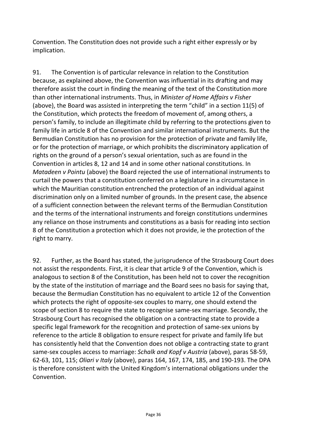Convention. The Constitution does not provide such a right either expressly or by implication.

91. The Convention is of particular relevance in relation to the Constitution because, as explained above, the Convention was influential in its drafting and may therefore assist the court in finding the meaning of the text of the Constitution more than other international instruments. Thus, in *Minister of Home Affairs v Fisher* (above), the Board was assisted in interpreting the term "child" in a section 11(5) of the Constitution, which protects the freedom of movement of, among others, a person's family, to include an illegitimate child by referring to the protections given to family life in article 8 of the Convention and similar international instruments. But the Bermudian Constitution has no provision for the protection of private and family life, or for the protection of marriage, or which prohibits the discriminatory application of rights on the ground of a person's sexual orientation, such as are found in the Convention in articles 8, 12 and 14 and in some other national constitutions. In *Matadeen v Pointu* (above) the Board rejected the use of international instruments to curtail the powers that a constitution conferred on a legislature in a circumstance in which the Mauritian constitution entrenched the protection of an individual against discrimination only on a limited number of grounds. In the present case, the absence of a sufficient connection between the relevant terms of the Bermudian Constitution and the terms of the international instruments and foreign constitutions undermines any reliance on those instruments and constitutions as a basis for reading into section 8 of the Constitution a protection which it does not provide, ie the protection of the right to marry.

92. Further, as the Board has stated, the jurisprudence of the Strasbourg Court does not assist the respondents. First, it is clear that article 9 of the Convention, which is analogous to section 8 of the Constitution, has been held not to cover the recognition by the state of the institution of marriage and the Board sees no basis for saying that, because the Bermudian Constitution has no equivalent to article 12 of the Convention which protects the right of opposite-sex couples to marry, one should extend the scope of section 8 to require the state to recognise same-sex marriage. Secondly, the Strasbourg Court has recognised the obligation on a contracting state to provide a specific legal framework for the recognition and protection of same-sex unions by reference to the article 8 obligation to ensure respect for private and family life but has consistently held that the Convention does not oblige a contracting state to grant same-sex couples access to marriage: *Schalk and Kopf v Austria* (above), paras 58-59, 62-63, 101, 115; *Oliari v Italy* (above), paras 164, 167, 174, 185, and 190-193. The DPA is therefore consistent with the United Kingdom's international obligations under the Convention.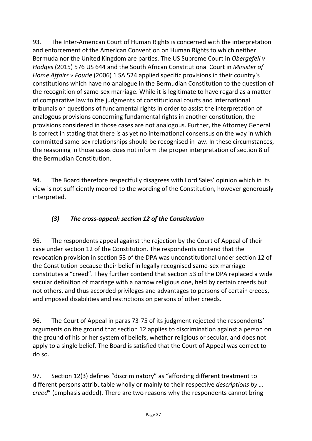93. The Inter-American Court of Human Rights is concerned with the interpretation and enforcement of the American Convention on Human Rights to which neither Bermuda nor the United Kingdom are parties. The US Supreme Court in *Obergefell v Hodges* (2015) 576 US 644 and the South African Constitutional Court in *Minister of Home Affairs v Fourie* (2006) 1 SA 524 applied specific provisions in their country's constitutions which have no analogue in the Bermudian Constitution to the question of the recognition of same-sex marriage. While it is legitimate to have regard as a matter of comparative law to the judgments of constitutional courts and international tribunals on questions of fundamental rights in order to assist the interpretation of analogous provisions concerning fundamental rights in another constitution, the provisions considered in those cases are not analogous. Further, the Attorney General is correct in stating that there is as yet no international consensus on the way in which committed same-sex relationships should be recognised in law. In these circumstances, the reasoning in those cases does not inform the proper interpretation of section 8 of the Bermudian Constitution.

94. The Board therefore respectfully disagrees with Lord Sales' opinion which in its view is not sufficiently moored to the wording of the Constitution, however generously interpreted.

# *(3) The cross-appeal: section 12 of the Constitution*

95. The respondents appeal against the rejection by the Court of Appeal of their case under section 12 of the Constitution. The respondents contend that the revocation provision in section 53 of the DPA was unconstitutional under section 12 of the Constitution because their belief in legally recognised same-sex marriage constitutes a "creed". They further contend that section 53 of the DPA replaced a wide secular definition of marriage with a narrow religious one, held by certain creeds but not others, and thus accorded privileges and advantages to persons of certain creeds, and imposed disabilities and restrictions on persons of other creeds.

96. The Court of Appeal in paras 73-75 of its judgment rejected the respondents' arguments on the ground that section 12 applies to discrimination against a person on the ground of his or her system of beliefs, whether religious or secular, and does not apply to a single belief. The Board is satisfied that the Court of Appeal was correct to do so.

97. Section 12(3) defines "discriminatory" as "affording different treatment to different persons attributable wholly or mainly to their respective *descriptions by … creed*" (emphasis added). There are two reasons why the respondents cannot bring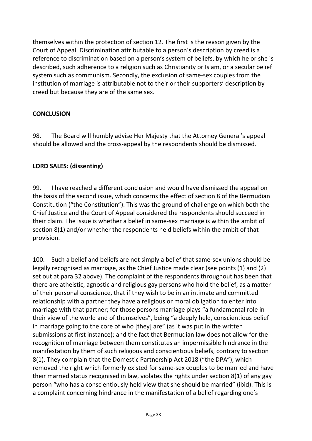themselves within the protection of section 12. The first is the reason given by the Court of Appeal. Discrimination attributable to a person's description by creed is a reference to discrimination based on a person's system of beliefs, by which he or she is described, such adherence to a religion such as Christianity or Islam, or a secular belief system such as communism. Secondly, the exclusion of same-sex couples from the institution of marriage is attributable not to their or their supporters' description by creed but because they are of the same sex.

#### **CONCLUSION**

98. The Board will humbly advise Her Majesty that the Attorney General's appeal should be allowed and the cross-appeal by the respondents should be dismissed.

#### **LORD SALES: (dissenting)**

99. I have reached a different conclusion and would have dismissed the appeal on the basis of the second issue, which concerns the effect of section 8 of the Bermudian Constitution ("the Constitution"). This was the ground of challenge on which both the Chief Justice and the Court of Appeal considered the respondents should succeed in their claim. The issue is whether a belief in same-sex marriage is within the ambit of section 8(1) and/or whether the respondents held beliefs within the ambit of that provision.

100. Such a belief and beliefs are not simply a belief that same-sex unions should be legally recognised as marriage, as the Chief Justice made clear (see points (1) and (2) set out at para 32 above). The complaint of the respondents throughout has been that there are atheistic, agnostic and religious gay persons who hold the belief, as a matter of their personal conscience, that if they wish to be in an intimate and committed relationship with a partner they have a religious or moral obligation to enter into marriage with that partner; for those persons marriage plays "a fundamental role in their view of the world and of themselves", being "a deeply held, conscientious belief in marriage going to the core of who [they] are" (as it was put in the written submissions at first instance); and the fact that Bermudian law does not allow for the recognition of marriage between them constitutes an impermissible hindrance in the manifestation by them of such religious and conscientious beliefs, contrary to section 8(1). They complain that the Domestic Partnership Act 2018 ("the DPA"), which removed the right which formerly existed for same-sex couples to be married and have their married status recognised in law, violates the rights under section 8(1) of any gay person "who has a conscientiously held view that she should be married" (ibid). This is a complaint concerning hindrance in the manifestation of a belief regarding one's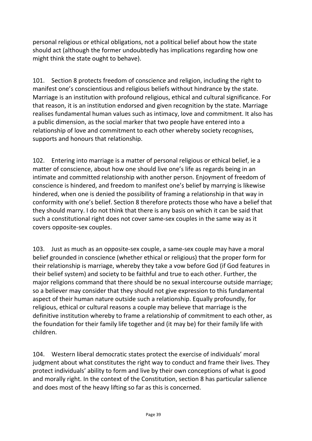personal religious or ethical obligations, not a political belief about how the state should act (although the former undoubtedly has implications regarding how one might think the state ought to behave).

101. Section 8 protects freedom of conscience and religion, including the right to manifest one's conscientious and religious beliefs without hindrance by the state. Marriage is an institution with profound religious, ethical and cultural significance. For that reason, it is an institution endorsed and given recognition by the state. Marriage realises fundamental human values such as intimacy, love and commitment. It also has a public dimension, as the social marker that two people have entered into a relationship of love and commitment to each other whereby society recognises, supports and honours that relationship.

102. Entering into marriage is a matter of personal religious or ethical belief, ie a matter of conscience, about how one should live one's life as regards being in an intimate and committed relationship with another person. Enjoyment of freedom of conscience is hindered, and freedom to manifest one's belief by marrying is likewise hindered, when one is denied the possibility of framing a relationship in that way in conformity with one's belief. Section 8 therefore protects those who have a belief that they should marry. I do not think that there is any basis on which it can be said that such a constitutional right does not cover same-sex couples in the same way as it covers opposite-sex couples.

103. Just as much as an opposite-sex couple, a same-sex couple may have a moral belief grounded in conscience (whether ethical or religious) that the proper form for their relationship is marriage, whereby they take a vow before God (if God features in their belief system) and society to be faithful and true to each other. Further, the major religions command that there should be no sexual intercourse outside marriage; so a believer may consider that they should not give expression to this fundamental aspect of their human nature outside such a relationship. Equally profoundly, for religious, ethical or cultural reasons a couple may believe that marriage is the definitive institution whereby to frame a relationship of commitment to each other, as the foundation for their family life together and (it may be) for their family life with children.

104. Western liberal democratic states protect the exercise of individuals' moral judgment about what constitutes the right way to conduct and frame their lives. They protect individuals' ability to form and live by their own conceptions of what is good and morally right. In the context of the Constitution, section 8 has particular salience and does most of the heavy lifting so far as this is concerned.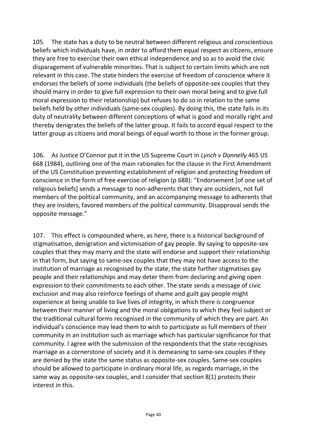105. The state has a duty to be neutral between different religious and conscientious beliefs which individuals have, in order to afford them equal respect as citizens, ensure they are free to exercise their own ethical independence and so as to avoid the civic disparagement of vulnerable minorities. That is subject to certain limits which are not relevant in this case. The state hinders the exercise of freedom of conscience where it endorses the beliefs of some individuals (the beliefs of opposite-sex couples that they should marry in order to give full expression to their own moral being and to give full moral expression to their relationship) but refuses to do so in relation to the same beliefs held by other individuals (same-sex couples). By doing this, the state fails in its duty of neutrality between different conceptions of what is good and morally right and thereby denigrates the beliefs of the latter group. It fails to accord equal respect to the latter group as citizens and moral beings of equal worth to those in the former group.

106. As Justice O'Connor put it in the US Supreme Court in *Lynch v Donnelly* 465 US 668 (1984), outlining one of the main rationales for the clause in the First Amendment of the US Constitution preventing establishment of religion and protecting freedom of conscience in the form of free exercise of religion (p 688): "Endorsement [of one set of religious beliefs] sends a message to non-adherents that they are outsiders, not full members of the political community, and an accompanying message to adherents that they are insiders, favored members of the political community. Disapproval sends the opposite message."

107. This effect is compounded where, as here, there is a historical background of stigmatisation, denigration and victimisation of gay people. By saying to opposite-sex couples that they may marry and the state will endorse and support their relationship in that form, but saying to same-sex couples that they may not have access to the institution of marriage as recognised by the state, the state further stigmatises gay people and their relationships and may deter them from declaring and giving open expression to their commitments to each other. The state sends a message of civic exclusion and may also reinforce feelings of shame and guilt gay people might experience at being unable to live lives of integrity, in which there is congruence between their manner of living and the moral obligations to which they feel subject or the traditional cultural forms recognised in the community of which they are part. An individual's conscience may lead them to wish to participate as full members of their community in an institution such as marriage which has particular significance for that community. I agree with the submission of the respondents that the state recognises marriage as a cornerstone of society and it is demeaning to same-sex couples if they are denied by the state the same status as opposite-sex couples. Same-sex couples should be allowed to participate in ordinary moral life, as regards marriage, in the same way as opposite-sex couples, and I consider that section 8(1) protects their interest in this.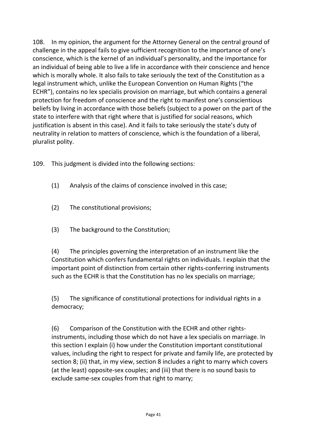108. In my opinion, the argument for the Attorney General on the central ground of challenge in the appeal fails to give sufficient recognition to the importance of one's conscience, which is the kernel of an individual's personality, and the importance for an individual of being able to live a life in accordance with their conscience and hence which is morally whole. It also fails to take seriously the text of the Constitution as a legal instrument which, unlike the European Convention on Human Rights ("the ECHR"), contains no lex specialis provision on marriage, but which contains a general protection for freedom of conscience and the right to manifest one's conscientious beliefs by living in accordance with those beliefs (subject to a power on the part of the state to interfere with that right where that is justified for social reasons, which justification is absent in this case). And it fails to take seriously the state's duty of neutrality in relation to matters of conscience, which is the foundation of a liberal, pluralist polity.

109. This judgment is divided into the following sections:

- (1) Analysis of the claims of conscience involved in this case;
- (2) The constitutional provisions;
- (3) The background to the Constitution;

(4) The principles governing the interpretation of an instrument like the Constitution which confers fundamental rights on individuals. I explain that the important point of distinction from certain other rights-conferring instruments such as the ECHR is that the Constitution has no lex specialis on marriage;

(5) The significance of constitutional protections for individual rights in a democracy;

(6) Comparison of the Constitution with the ECHR and other rightsinstruments, including those which do not have a lex specialis on marriage. In this section I explain (i) how under the Constitution important constitutional values, including the right to respect for private and family life, are protected by section 8; (ii) that, in my view, section 8 includes a right to marry which covers (at the least) opposite-sex couples; and (iii) that there is no sound basis to exclude same-sex couples from that right to marry;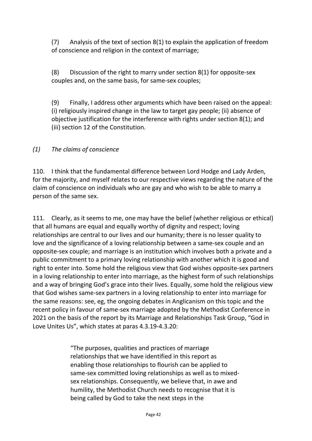(7) Analysis of the text of section 8(1) to explain the application of freedom of conscience and religion in the context of marriage;

(8) Discussion of the right to marry under section 8(1) for opposite-sex couples and, on the same basis, for same-sex couples;

(9) Finally, I address other arguments which have been raised on the appeal: (i) religiously inspired change in the law to target gay people; (ii) absence of objective justification for the interference with rights under section 8(1); and (iii) section 12 of the Constitution.

#### *(1) The claims of conscience*

110. I think that the fundamental difference between Lord Hodge and Lady Arden, for the majority, and myself relates to our respective views regarding the nature of the claim of conscience on individuals who are gay and who wish to be able to marry a person of the same sex.

111. Clearly, as it seems to me, one may have the belief (whether religious or ethical) that all humans are equal and equally worthy of dignity and respect; loving relationships are central to our lives and our humanity; there is no lesser quality to love and the significance of a loving relationship between a same-sex couple and an opposite-sex couple; and marriage is an institution which involves both a private and a public commitment to a primary loving relationship with another which it is good and right to enter into. Some hold the religious view that God wishes opposite-sex partners in a loving relationship to enter into marriage, as the highest form of such relationships and a way of bringing God's grace into their lives. Equally, some hold the religious view that God wishes same-sex partners in a loving relationship to enter into marriage for the same reasons: see, eg, the ongoing debates in Anglicanism on this topic and the recent policy in favour of same-sex marriage adopted by the Methodist Conference in 2021 on the basis of the report by its Marriage and Relationships Task Group, "God in Love Unites Us", which states at paras 4.3.19-4.3.20:

> "The purposes, qualities and practices of marriage relationships that we have identified in this report as enabling those relationships to flourish can be applied to same-sex committed loving relationships as well as to mixedsex relationships. Consequently, we believe that, in awe and humility, the Methodist Church needs to recognise that it is being called by God to take the next steps in the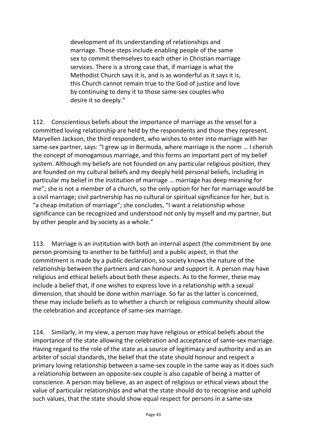development of its understanding of relationships and marriage. Those steps include enabling people of the same sex to commit themselves to each other in Christian marriage services. There is a strong case that, if marriage is what the Methodist Church says it is, and is as wonderful as it says it is, this Church cannot remain true to the God of justice and love by continuing to deny it to those same-sex couples who desire it so deeply."

112. Conscientious beliefs about the importance of marriage as the vessel for a committed loving relationship are held by the respondents and those they represent. Maryellen Jackson, the third respondent, who wishes to enter into marriage with her same-sex partner, says: "I grew up in Bermuda, where marriage is the norm … I cherish the concept of monogamous marriage, and this forms an important part of my belief system. Although my beliefs are not founded on any particular religious position, they are founded on my cultural beliefs and my deeply held personal beliefs, including in particular my belief in the institution of marriage … marriage has deep meaning for me"; she is not a member of a church, so the only option for her for marriage would be a civil marriage; civil partnership has no cultural or spiritual significance for her, but is "a cheap imitation of marriage"; she concludes, "I want a relationship whose significance can be recognized and understood not only by myself and my partner, but by other people and by society as a whole."

113. Marriage is an institution with both an internal aspect (the commitment by one person promising to another to be faithful) and a public aspect, in that the commitment is made by a public declaration, so society knows the nature of the relationship between the partners and can honour and support it. A person may have religious and ethical beliefs about both these aspects. As to the former, these may include a belief that, if one wishes to express love in a relationship with a sexual dimension, that should be done within marriage. So far as the latter is concerned, these may include beliefs as to whether a church or religious community should allow the celebration and acceptance of same-sex marriage.

114. Similarly, in my view, a person may have religious or ethical beliefs about the importance of the state allowing the celebration and acceptance of same-sex marriage. Having regard to the role of the state as a source of legitimacy and authority and as an arbiter of social standards, the belief that the state should honour and respect a primary loving relationship between a same-sex couple in the same way as it does such a relationship between an opposite-sex couple is also capable of being a matter of conscience. A person may believe, as an aspect of religious or ethical views about the value of particular relationships and what the state should do to recognise and uphold such values, that the state should show equal respect for persons in a same-sex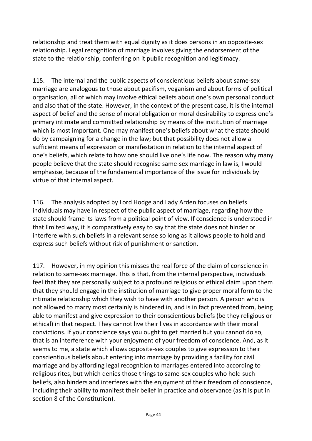relationship and treat them with equal dignity as it does persons in an opposite-sex relationship. Legal recognition of marriage involves giving the endorsement of the state to the relationship, conferring on it public recognition and legitimacy.

115. The internal and the public aspects of conscientious beliefs about same-sex marriage are analogous to those about pacifism, veganism and about forms of political organisation, all of which may involve ethical beliefs about one's own personal conduct and also that of the state. However, in the context of the present case, it is the internal aspect of belief and the sense of moral obligation or moral desirability to express one's primary intimate and committed relationship by means of the institution of marriage which is most important. One may manifest one's beliefs about what the state should do by campaigning for a change in the law; but that possibility does not allow a sufficient means of expression or manifestation in relation to the internal aspect of one's beliefs, which relate to how one should live one's life now. The reason why many people believe that the state should recognise same-sex marriage in law is, I would emphasise, because of the fundamental importance of the issue for individuals by virtue of that internal aspect.

116. The analysis adopted by Lord Hodge and Lady Arden focuses on beliefs individuals may have in respect of the public aspect of marriage, regarding how the state should frame its laws from a political point of view. If conscience is understood in that limited way, it is comparatively easy to say that the state does not hinder or interfere with such beliefs in a relevant sense so long as it allows people to hold and express such beliefs without risk of punishment or sanction.

117. However, in my opinion this misses the real force of the claim of conscience in relation to same-sex marriage. This is that, from the internal perspective, individuals feel that they are personally subject to a profound religious or ethical claim upon them that they should engage in the institution of marriage to give proper moral form to the intimate relationship which they wish to have with another person. A person who is not allowed to marry most certainly is hindered in, and is in fact prevented from, being able to manifest and give expression to their conscientious beliefs (be they religious or ethical) in that respect. They cannot live their lives in accordance with their moral convictions. If your conscience says you ought to get married but you cannot do so, that is an interference with your enjoyment of your freedom of conscience. And, as it seems to me, a state which allows opposite-sex couples to give expression to their conscientious beliefs about entering into marriage by providing a facility for civil marriage and by affording legal recognition to marriages entered into according to religious rites, but which denies those things to same-sex couples who hold such beliefs, also hinders and interferes with the enjoyment of their freedom of conscience, including their ability to manifest their belief in practice and observance (as it is put in section 8 of the Constitution).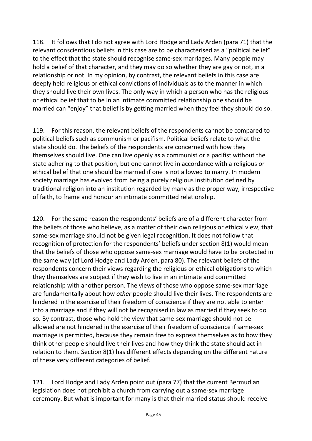118. It follows that I do not agree with Lord Hodge and Lady Arden (para 71) that the relevant conscientious beliefs in this case are to be characterised as a "political belief" to the effect that the state should recognise same-sex marriages. Many people may hold a belief of that character, and they may do so whether they are gay or not, in a relationship or not. In my opinion, by contrast, the relevant beliefs in this case are deeply held religious or ethical convictions of individuals as to the manner in which they should live their own lives. The only way in which a person who has the religious or ethical belief that to be in an intimate committed relationship one should be married can "enjoy" that belief is by getting married when they feel they should do so.

119. For this reason, the relevant beliefs of the respondents cannot be compared to political beliefs such as communism or pacifism. Political beliefs relate to what the state should do. The beliefs of the respondents are concerned with how they themselves should live. One can live openly as a communist or a pacifist without the state adhering to that position, but one cannot live in accordance with a religious or ethical belief that one should be married if one is not allowed to marry. In modern society marriage has evolved from being a purely religious institution defined by traditional religion into an institution regarded by many as the proper way, irrespective of faith, to frame and honour an intimate committed relationship.

120. For the same reason the respondents' beliefs are of a different character from the beliefs of those who believe, as a matter of their own religious or ethical view, that same-sex marriage should not be given legal recognition. It does not follow that recognition of protection for the respondents' beliefs under section 8(1) would mean that the beliefs of those who oppose same-sex marriage would have to be protected in the same way (cf Lord Hodge and Lady Arden, para 80). The relevant beliefs of the respondents concern their views regarding the religious or ethical obligations to which they themselves are subject if they wish to live in an intimate and committed relationship with another person. The views of those who oppose same-sex marriage are fundamentally about how *other* people should live their lives. The respondents are hindered in the exercise of their freedom of conscience if they are not able to enter into a marriage and if they will not be recognised in law as married if they seek to do so. By contrast, those who hold the view that same-sex marriage should not be allowed are not hindered in the exercise of their freedom of conscience if same-sex marriage is permitted, because they remain free to express themselves as to how they think other people should live their lives and how they think the state should act in relation to them. Section 8(1) has different effects depending on the different nature of these very different categories of belief.

121. Lord Hodge and Lady Arden point out (para 77) that the current Bermudian legislation does not prohibit a church from carrying out a same-sex marriage ceremony. But what is important for many is that their married status should receive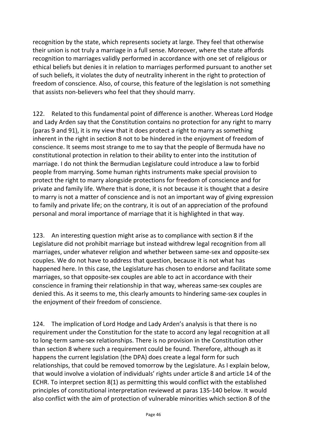recognition by the state, which represents society at large. They feel that otherwise their union is not truly a marriage in a full sense. Moreover, where the state affords recognition to marriages validly performed in accordance with one set of religious or ethical beliefs but denies it in relation to marriages performed pursuant to another set of such beliefs, it violates the duty of neutrality inherent in the right to protection of freedom of conscience. Also, of course, this feature of the legislation is not something that assists non-believers who feel that they should marry.

122. Related to this fundamental point of difference is another. Whereas Lord Hodge and Lady Arden say that the Constitution contains no protection for any right to marry (paras 9 and 91), it is my view that it does protect a right to marry as something inherent in the right in section 8 not to be hindered in the enjoyment of freedom of conscience. It seems most strange to me to say that the people of Bermuda have no constitutional protection in relation to their ability to enter into the institution of marriage. I do not think the Bermudian Legislature could introduce a law to forbid people from marrying. Some human rights instruments make special provision to protect the right to marry alongside protections for freedom of conscience and for private and family life. Where that is done, it is not because it is thought that a desire to marry is not a matter of conscience and is not an important way of giving expression to family and private life; on the contrary, it is out of an appreciation of the profound personal and moral importance of marriage that it is highlighted in that way.

123. An interesting question might arise as to compliance with section 8 if the Legislature did not prohibit marriage but instead withdrew legal recognition from all marriages, under whatever religion and whether between same-sex and opposite-sex couples. We do not have to address that question, because it is not what has happened here. In this case, the Legislature has chosen to endorse and facilitate some marriages, so that opposite-sex couples are able to act in accordance with their conscience in framing their relationship in that way, whereas same-sex couples are denied this. As it seems to me, this clearly amounts to hindering same-sex couples in the enjoyment of their freedom of conscience.

124. The implication of Lord Hodge and Lady Arden's analysis is that there is no requirement under the Constitution for the state to accord any legal recognition at all to long-term same-sex relationships. There is no provision in the Constitution other than section 8 where such a requirement could be found. Therefore, although as it happens the current legislation (the DPA) does create a legal form for such relationships, that could be removed tomorrow by the Legislature. As I explain below, that would involve a violation of individuals' rights under article 8 and article 14 of the ECHR. To interpret section 8(1) as permitting this would conflict with the established principles of constitutional interpretation reviewed at paras 135-140 below. It would also conflict with the aim of protection of vulnerable minorities which section 8 of the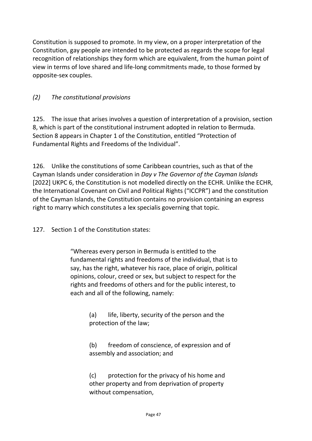Constitution is supposed to promote. In my view, on a proper interpretation of the Constitution, gay people are intended to be protected as regards the scope for legal recognition of relationships they form which are equivalent, from the human point of view in terms of love shared and life-long commitments made, to those formed by opposite-sex couples.

### *(2) The constitutional provisions*

125. The issue that arises involves a question of interpretation of a provision, section 8, which is part of the constitutional instrument adopted in relation to Bermuda. Section 8 appears in Chapter 1 of the Constitution, entitled "Protection of Fundamental Rights and Freedoms of the Individual".

126. Unlike the constitutions of some Caribbean countries, such as that of the Cayman Islands under consideration in *Day v The Governor of the Cayman Islands*  [2022] UKPC 6, the Constitution is not modelled directly on the ECHR. Unlike the ECHR, the International Covenant on Civil and Political Rights ("ICCPR") and the constitution of the Cayman Islands, the Constitution contains no provision containing an express right to marry which constitutes a lex specialis governing that topic.

127. Section 1 of the Constitution states:

"Whereas every person in Bermuda is entitled to the fundamental rights and freedoms of the individual, that is to say, has the right, whatever his race, place of origin, political opinions, colour, creed or sex, but subject to respect for the rights and freedoms of others and for the public interest, to each and all of the following, namely:

> (a) life, liberty, security of the person and the protection of the law;

(b) freedom of conscience, of expression and of assembly and association; and

(c) protection for the privacy of his home and other property and from deprivation of property without compensation,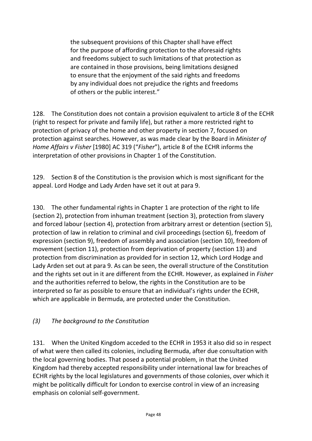the subsequent provisions of this Chapter shall have effect for the purpose of affording protection to the aforesaid rights and freedoms subject to such limitations of that protection as are contained in those provisions, being limitations designed to ensure that the enjoyment of the said rights and freedoms by any individual does not prejudice the rights and freedoms of others or the public interest."

128. The Constitution does not contain a provision equivalent to article 8 of the ECHR (right to respect for private and family life), but rather a more restricted right to protection of privacy of the home and other property in section 7, focused on protection against searches. However, as was made clear by the Board in *Minister of Home Affairs v Fisher* [1980] AC 319 ("*Fisher*"), article 8 of the ECHR informs the interpretation of other provisions in Chapter 1 of the Constitution.

129. Section 8 of the Constitution is the provision which is most significant for the appeal. Lord Hodge and Lady Arden have set it out at para 9.

130. The other fundamental rights in Chapter 1 are protection of the right to life (section 2), protection from inhuman treatment (section 3), protection from slavery and forced labour (section 4), protection from arbitrary arrest or detention (section 5), protection of law in relation to criminal and civil proceedings (section 6), freedom of expression (section 9), freedom of assembly and association (section 10), freedom of movement (section 11), protection from deprivation of property (section 13) and protection from discrimination as provided for in section 12, which Lord Hodge and Lady Arden set out at para 9. As can be seen, the overall structure of the Constitution and the rights set out in it are different from the ECHR. However, as explained in *Fisher* and the authorities referred to below, the rights in the Constitution are to be interpreted so far as possible to ensure that an individual's rights under the ECHR, which are applicable in Bermuda, are protected under the Constitution.

#### *(3) The background to the Constitution*

131. When the United Kingdom acceded to the ECHR in 1953 it also did so in respect of what were then called its colonies, including Bermuda, after due consultation with the local governing bodies. That posed a potential problem, in that the United Kingdom had thereby accepted responsibility under international law for breaches of ECHR rights by the local legislatures and governments of those colonies, over which it might be politically difficult for London to exercise control in view of an increasing emphasis on colonial self-government.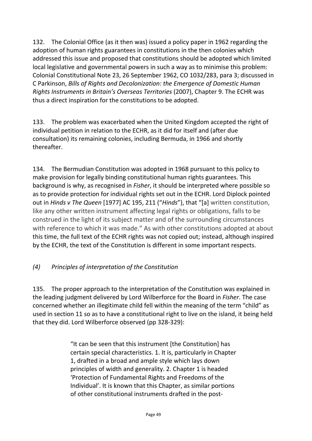132. The Colonial Office (as it then was) issued a policy paper in 1962 regarding the adoption of human rights guarantees in constitutions in the then colonies which addressed this issue and proposed that constitutions should be adopted which limited local legislative and governmental powers in such a way as to minimise this problem: Colonial Constitutional Note 23, 26 September 1962, CO 1032/283, para 3; discussed in C Parkinson, *Bills of Rights and Decolonization: the Emergence of Domestic Human Rights Instruments in Britain's Overseas Territories* (2007), Chapter 9. The ECHR was thus a direct inspiration for the constitutions to be adopted.

133. The problem was exacerbated when the United Kingdom accepted the right of individual petition in relation to the ECHR, as it did for itself and (after due consultation) its remaining colonies, including Bermuda, in 1966 and shortly thereafter.

134. The Bermudian Constitution was adopted in 1968 pursuant to this policy to make provision for legally binding constitutional human rights guarantees. This background is why, as recognised in *Fisher*, it should be interpreted where possible so as to provide protection for individual rights set out in the ECHR. Lord Diplock pointed out in *Hinds v The Queen* [1977] AC 195, 211 ("*Hinds*"), that "[a] written constitution, like any other written instrument affecting legal rights or obligations, falls to be construed in the light of its subject matter and of the surrounding circumstances with reference to which it was made." As with other constitutions adopted at about this time, the full text of the ECHR rights was not copied out; instead, although inspired by the ECHR, the text of the Constitution is different in some important respects.

# *(4) Principles of interpretation of the Constitution*

135. The proper approach to the interpretation of the Constitution was explained in the leading judgment delivered by Lord Wilberforce for the Board in *Fisher*. The case concerned whether an illegitimate child fell within the meaning of the term "child" as used in section 11 so as to have a constitutional right to live on the island, it being held that they did. Lord Wilberforce observed (pp 328-329):

> "It can be seen that this instrument [the Constitution] has certain special characteristics. 1. It is, particularly in Chapter 1, drafted in a broad and ample style which lays down principles of width and generality. 2. Chapter 1 is headed 'Protection of Fundamental Rights and Freedoms of the Individual'. It is known that this Chapter, as similar portions of other constitutional instruments drafted in the post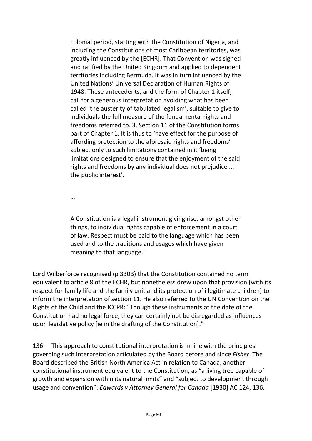colonial period, starting with the Constitution of Nigeria, and including the Constitutions of most Caribbean territories, was greatly influenced by the [ECHR]. That Convention was signed and ratified by the United Kingdom and applied to dependent territories including Bermuda. It was in turn influenced by the United Nations' Universal Declaration of Human Rights of 1948. These antecedents, and the form of Chapter 1 itself, call for a generous interpretation avoiding what has been called 'the austerity of tabulated legalism', suitable to give to individuals the full measure of the fundamental rights and freedoms referred to. 3. Section 11 of the Constitution forms part of Chapter 1. It is thus to 'have effect for the purpose of affording protection to the aforesaid rights and freedoms' subject only to such limitations contained in it 'being limitations designed to ensure that the enjoyment of the said rights and freedoms by any individual does not prejudice ... the public interest'.

…

A Constitution is a legal instrument giving rise, amongst other things, to individual rights capable of enforcement in a court of law. Respect must be paid to the language which has been used and to the traditions and usages which have given meaning to that language."

Lord Wilberforce recognised (p 330B) that the Constitution contained no term equivalent to article 8 of the ECHR, but nonetheless drew upon that provision (with its respect for family life and the family unit and its protection of illegitimate children) to inform the interpretation of section 11. He also referred to the UN Convention on the Rights of the Child and the ICCPR: "Though these instruments at the date of the Constitution had no legal force, they can certainly not be disregarded as influences upon legislative policy [ie in the drafting of the Constitution]."

136. This approach to constitutional interpretation is in line with the principles governing such interpretation articulated by the Board before and since *Fisher*. The Board described the British North America Act in relation to Canada, another constitutional instrument equivalent to the Constitution, as "a living tree capable of growth and expansion within its natural limits" and "subject to development through usage and convention": *Edwards v Attorney General for Canada* [1930] AC 124, 136.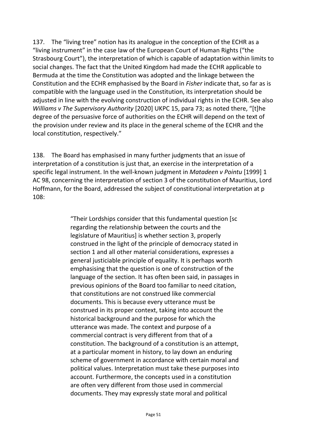137. The "living tree" notion has its analogue in the conception of the ECHR as a "living instrument" in the case law of the European Court of Human Rights ("the Strasbourg Court"), the interpretation of which is capable of adaptation within limits to social changes. The fact that the United Kingdom had made the ECHR applicable to Bermuda at the time the Constitution was adopted and the linkage between the Constitution and the ECHR emphasised by the Board in *Fisher* indicate that, so far as is compatible with the language used in the Constitution, its interpretation should be adjusted in line with the evolving construction of individual rights in the ECHR. See also *Williams v The Supervisory Authority* [2020] UKPC 15, para 73; as noted there, "[t]he degree of the persuasive force of authorities on the ECHR will depend on the text of the provision under review and its place in the general scheme of the ECHR and the local constitution, respectively."

138. The Board has emphasised in many further judgments that an issue of interpretation of a constitution is just that, an exercise in the interpretation of a specific legal instrument. In the well-known judgment in *Matadeen v Pointu* [1999] 1 AC 98, concerning the interpretation of section 3 of the constitution of Mauritius, Lord Hoffmann, for the Board, addressed the subject of constitutional interpretation at p 108:

> "Their Lordships consider that this fundamental question [sc regarding the relationship between the courts and the legislature of Mauritius] is whether section 3, properly construed in the light of the principle of democracy stated in section 1 and all other material considerations, expresses a general justiciable principle of equality. It is perhaps worth emphasising that the question is one of construction of the language of the section. It has often been said, in passages in previous opinions of the Board too familiar to need citation, that constitutions are not construed like commercial documents. This is because every utterance must be construed in its proper context, taking into account the historical background and the purpose for which the utterance was made. The context and purpose of a commercial contract is very different from that of a constitution. The background of a constitution is an attempt, at a particular moment in history, to lay down an enduring scheme of government in accordance with certain moral and political values. Interpretation must take these purposes into account. Furthermore, the concepts used in a constitution are often very different from those used in commercial documents. They may expressly state moral and political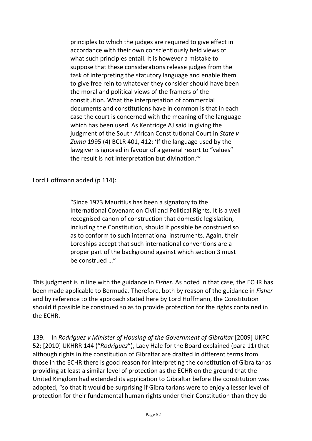principles to which the judges are required to give effect in accordance with their own conscientiously held views of what such principles entail. It is however a mistake to suppose that these considerations release judges from the task of interpreting the statutory language and enable them to give free rein to whatever they consider should have been the moral and political views of the framers of the constitution. What the interpretation of commercial documents and constitutions have in common is that in each case the court is concerned with the meaning of the language which has been used. As Kentridge AJ said in giving the judgment of the South African Constitutional Court in *State v Zuma* 1995 (4) BCLR 401, 412: 'If the language used by the lawgiver is ignored in favour of a general resort to "values" the result is not interpretation but divination.'"

Lord Hoffmann added (p 114):

"Since 1973 Mauritius has been a signatory to the International Covenant on Civil and Political Rights. It is a well recognised canon of construction that domestic legislation, including the Constitution, should if possible be construed so as to conform to such international instruments. Again, their Lordships accept that such international conventions are a proper part of the background against which section 3 must be construed …"

This judgment is in line with the guidance in *Fisher*. As noted in that case, the ECHR has been made applicable to Bermuda. Therefore, both by reason of the guidance in *Fisher* and by reference to the approach stated here by Lord Hoffmann, the Constitution should if possible be construed so as to provide protection for the rights contained in the ECHR.

139. In *Rodriguez v Minister of Housing of the Government of Gibraltar* [2009] UKPC 52; [2010] UKHRR 144 ("*Rodriguez*"), Lady Hale for the Board explained (para 11) that although rights in the constitution of Gibraltar are drafted in different terms from those in the ECHR there is good reason for interpreting the constitution of Gibraltar as providing at least a similar level of protection as the ECHR on the ground that the United Kingdom had extended its application to Gibraltar before the constitution was adopted, "so that it would be surprising if Gibraltarians were to enjoy a lesser level of protection for their fundamental human rights under their Constitution than they do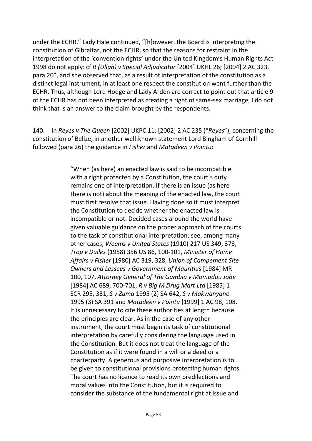under the ECHR." Lady Hale continued, "[h]owever, the Board is interpreting the constitution of Gibraltar, not the ECHR, so that the reasons for restraint in the interpretation of the 'convention rights' under the United Kingdom's Human Rights Act 1998 do not apply: cf *R (Ullah) v Special Adjudicator* [2004] UKHL 26; [2004] 2 AC 323, para 20", and she observed that, as a result of interpretation of the constitution as a distinct legal instrument, in at least one respect the constitution went further than the ECHR. Thus, although Lord Hodge and Lady Arden are correct to point out that article 9 of the ECHR has not been interpreted as creating a right of same-sex marriage, I do not think that is an answer to the claim brought by the respondents.

140. In *Reyes v The Queen* [2002] UKPC 11; [2002] 2 AC 235 ("*Reyes*"), concerning the constitution of Belize, in another well-known statement Lord Bingham of Cornhill followed (para 26) the guidance in *Fisher* and *Matadeen v Pointu*:

> "When (as here) an enacted law is said to be incompatible with a right protected by a Constitution, the court's duty remains one of interpretation. If there is an issue (as here there is not) about the meaning of the enacted law, the court must first resolve that issue. Having done so it must interpret the Constitution to decide whether the enacted law is incompatible or not. Decided cases around the world have given valuable guidance on the proper approach of the courts to the task of constitutional interpretation: see, among many other cases, *Weems v United States* (1910) 217 US 349, 373, *Trop v Dulles* (1958) 356 US 86, 100-101, *Minister of Home Affairs v Fisher* [1980] AC 319, 328, *Union of Campement Site Owners and Lessees v Government of Mauritius* [1984] MR 100, 107, *Attorney General of The Gambia v Momodou Jobe* [1984] AC 689, 700-701, *R v Big M Drug Mart Ltd* [1985] 1 SCR 295, 331, *S v Zuma* 1995 (2) SA 642, *S v Makwanyane* 1995 (3) SA 391 and *Matadeen v Pointu* [1999] 1 AC 98, 108. It is unnecessary to cite these authorities at length because the principles are clear. As in the case of any other instrument, the court must begin its task of constitutional interpretation by carefully considering the language used in the Constitution. But it does not treat the language of the Constitution as if it were found in a will or a deed or a charterparty. A generous and purposive interpretation is to be given to constitutional provisions protecting human rights. The court has no licence to read its own predilections and moral values into the Constitution, but it is required to consider the substance of the fundamental right at issue and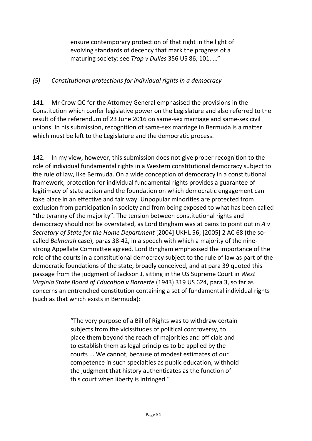ensure contemporary protection of that right in the light of evolving standards of decency that mark the progress of a maturing society: see *Trop v Dulles* 356 US 86, 101. …"

### *(5) Constitutional protections for individual rights in a democracy*

141. Mr Crow QC for the Attorney General emphasised the provisions in the Constitution which confer legislative power on the Legislature and also referred to the result of the referendum of 23 June 2016 on same-sex marriage and same-sex civil unions. In his submission, recognition of same-sex marriage in Bermuda is a matter which must be left to the Legislature and the democratic process.

142. In my view, however, this submission does not give proper recognition to the role of individual fundamental rights in a Western constitutional democracy subject to the rule of law, like Bermuda. On a wide conception of democracy in a constitutional framework, protection for individual fundamental rights provides a guarantee of legitimacy of state action and the foundation on which democratic engagement can take place in an effective and fair way. Unpopular minorities are protected from exclusion from participation in society and from being exposed to what has been called "the tyranny of the majority". The tension between constitutional rights and democracy should not be overstated, as Lord Bingham was at pains to point out in *A v Secretary of State for the Home Department* [2004] UKHL 56; [2005] 2 AC 68 (the socalled *Belmarsh* case), paras 38-42, in a speech with which a majority of the ninestrong Appellate Committee agreed. Lord Bingham emphasised the importance of the role of the courts in a constitutional democracy subject to the rule of law as part of the democratic foundations of the state, broadly conceived, and at para 39 quoted this passage from the judgment of Jackson J, sitting in the US Supreme Court in *West Virginia State Board of Education v Barnette* (1943) 319 US 624, para 3, so far as concerns an entrenched constitution containing a set of fundamental individual rights (such as that which exists in Bermuda):

> "The very purpose of a Bill of Rights was to withdraw certain subjects from the vicissitudes of political controversy, to place them beyond the reach of majorities and officials and to establish them as legal principles to be applied by the courts ... We cannot, because of modest estimates of our competence in such specialties as public education, withhold the judgment that history authenticates as the function of this court when liberty is infringed."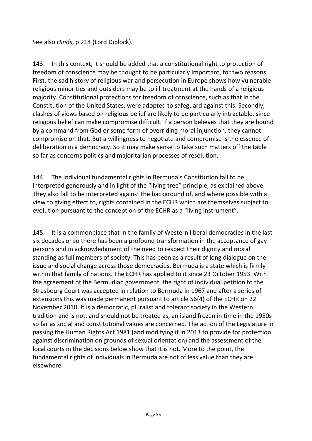See also *Hinds*, p 214 (Lord Diplock).

143. In this context, it should be added that a constitutional right to protection of freedom of conscience may be thought to be particularly important, for two reasons. First, the sad history of religious war and persecution in Europe shows how vulnerable religious minorities and outsiders may be to ill-treatment at the hands of a religious majority. Constitutional protections for freedom of conscience, such as that in the Constitution of the United States, were adopted to safeguard against this. Secondly, clashes of views based on religious belief are likely to be particularly intractable, since religious belief can make compromise difficult. If a person believes that they are bound by a command from God or some form of overriding moral injunction, they cannot compromise on that. But a willingness to negotiate and compromise is the essence of deliberation in a democracy. So it may make sense to take such matters off the table so far as concerns politics and majoritarian processes of resolution.

144. The individual fundamental rights in Bermuda's Constitution fall to be interpreted generously and in light of the "living tree" principle, as explained above. They also fall to be interpreted against the background of, and where possible with a view to giving effect to, rights contained in the ECHR which are themselves subject to evolution pursuant to the conception of the ECHR as a "living instrument".

145. It is a commonplace that in the family of Western liberal democracies in the last six decades or so there has been a profound transformation in the acceptance of gay persons and in acknowledgment of the need to respect their dignity and moral standing as full members of society. This has been as a result of long dialogue on the issue and social change across those democracies. Bermuda is a state which is firmly within that family of nations. The ECHR has applied to it since 23 October 1953. With the agreement of the Bermudian government, the right of individual petition to the Strasbourg Court was accepted in relation to Bermuda in 1967 and after a series of extensions this was made permanent pursuant to article 56(4) of the ECHR on 22 November 2010. It is a democratic, pluralist and tolerant society in the Western tradition and is not, and should not be treated as, an island frozen in time in the 1950s so far as social and constitutional values are concerned. The action of the Legislature in passing the Human Rights Act 1981 (and modifying it in 2013 to provide for protection against discrimination on grounds of sexual orientation) and the assessment of the local courts in the decisions below show that it is not. More to the point, the fundamental rights of individuals in Bermuda are not of less value than they are elsewhere.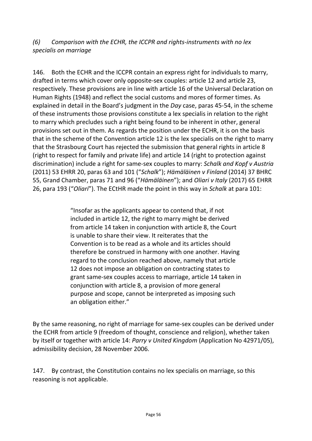*(6) Comparison with the ECHR, the ICCPR and rights-instruments with no lex specialis on marriage*

146. Both the ECHR and the ICCPR contain an express right for individuals to marry, drafted in terms which cover only opposite-sex couples: article 12 and article 23, respectively. These provisions are in line with article 16 of the Universal Declaration on Human Rights (1948) and reflect the social customs and mores of former times. As explained in detail in the Board's judgment in the *Day* case, paras 45-54, in the scheme of these instruments those provisions constitute a lex specialis in relation to the right to marry which precludes such a right being found to be inherent in other, general provisions set out in them. As regards the position under the ECHR, it is on the basis that in the scheme of the Convention article 12 is the lex specialis on the right to marry that the Strasbourg Court has rejected the submission that general rights in article 8 (right to respect for family and private life) and article 14 (right to protection against discrimination) include a right for same-sex couples to marry: *Schalk and Kopf v Austria*  (2011) 53 EHRR 20, paras 63 and 101 ("*Schalk*"); *Hämäläinen v Finland* (2014) 37 BHRC 55, Grand Chamber, paras 71 and 96 ("*Hämäläinen*"); and *Oliari v Italy* (2017) 65 EHRR 26, para 193 ("*Oliari*"). The ECtHR made the point in this way in *Schalk* at para 101:

> "Insofar as the applicants appear to contend that, if not included in article 12, the right to marry might be derived from article 14 taken in conjunction with article 8, the Court is unable to share their view. It reiterates that the Convention is to be read as a whole and its articles should therefore be construed in harmony with one another. Having regard to the conclusion reached above, namely that article 12 does not impose an obligation on contracting states to grant same-sex couples access to marriage, article 14 taken in conjunction with article 8, a provision of more general purpose and scope, cannot be interpreted as imposing such an obligation either."

By the same reasoning, no right of marriage for same-sex couples can be derived under the ECHR from article 9 (freedom of thought, conscience and religion), whether taken by itself or together with article 14: *Parry v United Kingdom* (Application No 42971/05), admissibility decision, 28 November 2006.

147. By contrast, the Constitution contains no lex specialis on marriage, so this reasoning is not applicable.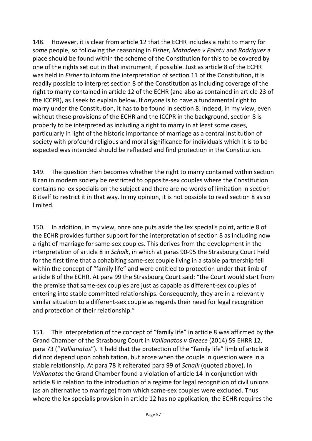148. However, it is clear from article 12 that the ECHR includes a right to marry for *some* people, so following the reasoning in *Fisher, Matadeen v Pointu* and *Rodriguez* a place should be found within the scheme of the Constitution for this to be covered by one of the rights set out in that instrument, if possible. Just as article 8 of the ECHR was held in *Fisher* to inform the interpretation of section 11 of the Constitution, it is readily possible to interpret section 8 of the Constitution as including coverage of the right to marry contained in article 12 of the ECHR (and also as contained in article 23 of the ICCPR), as I seek to explain below. If *anyone* is to have a fundamental right to marry under the Constitution, it has to be found in section 8. Indeed, in my view, even without these provisions of the ECHR and the ICCPR in the background, section 8 is properly to be interpreted as including a right to marry in at least some cases, particularly in light of the historic importance of marriage as a central institution of society with profound religious and moral significance for individuals which it is to be expected was intended should be reflected and find protection in the Constitution.

149. The question then becomes whether the right to marry contained within section 8 can in modern society be restricted to opposite-sex couples where the Constitution contains no lex specialis on the subject and there are no words of limitation in section 8 itself to restrict it in that way. In my opinion, it is not possible to read section 8 as so limited.

150. In addition, in my view, once one puts aside the lex specialis point, article 8 of the ECHR provides further support for the interpretation of section 8 as including now a right of marriage for same-sex couples. This derives from the development in the interpretation of article 8 in *Schalk*, in which at paras 90-95 the Strasbourg Court held for the first time that a cohabiting same-sex couple living in a stable partnership fell within the concept of "family life" and were entitled to protection under that limb of article 8 of the ECHR. At para 99 the Strasbourg Court said: "the Court would start from the premise that same-sex couples are just as capable as different-sex couples of entering into stable committed relationships. Consequently, they are in a relevantly similar situation to a different-sex couple as regards their need for legal recognition and protection of their relationship."

151. This interpretation of the concept of "family life" in article 8 was affirmed by the Grand Chamber of the Strasbourg Court in *Vallianatos v Greece* (2014) 59 EHRR 12, para 73 ("*Vallianatos*"). It held that the protection of the "family life" limb of article 8 did not depend upon cohabitation, but arose when the couple in question were in a stable relationship. At para 78 it reiterated para 99 of *Schalk* (quoted above). In *Vallianatos* the Grand Chamber found a violation of article 14 in conjunction with article 8 in relation to the introduction of a regime for legal recognition of civil unions (as an alternative to marriage) from which same-sex couples were excluded. Thus where the lex specialis provision in article 12 has no application, the ECHR requires the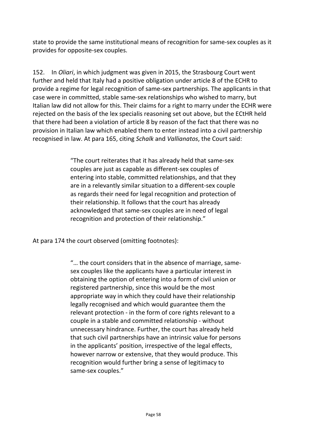state to provide the same institutional means of recognition for same-sex couples as it provides for opposite-sex couples.

152. In *Oliari*, in which judgment was given in 2015, the Strasbourg Court went further and held that Italy had a positive obligation under article 8 of the ECHR to provide a regime for legal recognition of same-sex partnerships. The applicants in that case were in committed, stable same-sex relationships who wished to marry, but Italian law did not allow for this. Their claims for a right to marry under the ECHR were rejected on the basis of the lex specialis reasoning set out above, but the ECtHR held that there had been a violation of article 8 by reason of the fact that there was no provision in Italian law which enabled them to enter instead into a civil partnership recognised in law. At para 165, citing *Schalk* and *Vallianatos*, the Court said:

> "The court reiterates that it has already held that same-sex couples are just as capable as different-sex couples of entering into stable, committed relationships, and that they are in a relevantly similar situation to a different-sex couple as regards their need for legal recognition and protection of their relationship. It follows that the court has already acknowledged that same-sex couples are in need of legal recognition and protection of their relationship."

At para 174 the court observed (omitting footnotes):

"… the court considers that in the absence of marriage, samesex couples like the applicants have a particular interest in obtaining the option of entering into a form of civil union or registered partnership, since this would be the most appropriate way in which they could have their relationship legally recognised and which would guarantee them the relevant protection - in the form of core rights relevant to a couple in a stable and committed relationship - without unnecessary hindrance. Further, the court has already held that such civil partnerships have an intrinsic value for persons in the applicants' position, irrespective of the legal effects, however narrow or extensive, that they would produce. This recognition would further bring a sense of legitimacy to same-sex couples."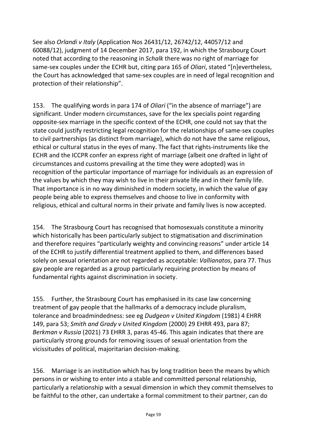See also *Orlandi v Italy* (Application Nos 26431/12, 26742/12, 44057/12 and 60088/12), judgment of 14 December 2017, para 192, in which the Strasbourg Court noted that according to the reasoning in *Schalk* there was no right of marriage for same-sex couples under the ECHR but, citing para 165 of *Oliari*, stated "[n]evertheless, the Court has acknowledged that same-sex couples are in need of legal recognition and protection of their relationship".

153. The qualifying words in para 174 of *Oliari* ("in the absence of marriage") are significant. Under modern circumstances, save for the lex specialis point regarding opposite-sex marriage in the specific context of the ECHR, one could not say that the state could justify restricting legal recognition for the relationships of same-sex couples to civil partnerships (as distinct from marriage), which do not have the same religious, ethical or cultural status in the eyes of many. The fact that rights-instruments like the ECHR and the ICCPR confer an express right of marriage (albeit one drafted in light of circumstances and customs prevailing at the time they were adopted) was in recognition of the particular importance of marriage for individuals as an expression of the values by which they may wish to live in their private life and in their family life. That importance is in no way diminished in modern society, in which the value of gay people being able to express themselves and choose to live in conformity with religious, ethical and cultural norms in their private and family lives is now accepted.

154. The Strasbourg Court has recognised that homosexuals constitute a minority which historically has been particularly subject to stigmatisation and discrimination and therefore requires "particularly weighty and convincing reasons" under article 14 of the ECHR to justify differential treatment applied to them, and differences based solely on sexual orientation are not regarded as acceptable: *Vallianatos*, para 77. Thus gay people are regarded as a group particularly requiring protection by means of fundamental rights against discrimination in society.

155. Further, the Strasbourg Court has emphasised in its case law concerning treatment of gay people that the hallmarks of a democracy include pluralism, tolerance and broadmindedness: see eg *Dudgeon v United Kingdom* (1981) 4 EHRR 149, para 53; *Smith and Grady v United Kingdom* (2000) 29 EHRR 493, para 87; *Berkman v Russia* (2021) 73 EHRR 3, paras 45-46. This again indicates that there are particularly strong grounds for removing issues of sexual orientation from the vicissitudes of political, majoritarian decision-making.

156. Marriage is an institution which has by long tradition been the means by which persons in or wishing to enter into a stable and committed personal relationship, particularly a relationship with a sexual dimension in which they commit themselves to be faithful to the other, can undertake a formal commitment to their partner, can do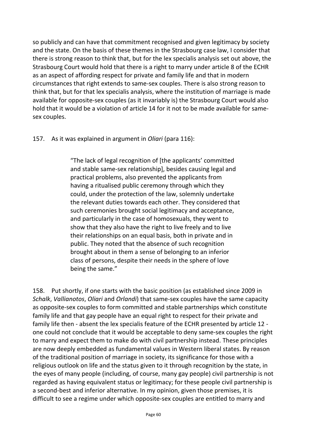so publicly and can have that commitment recognised and given legitimacy by society and the state. On the basis of these themes in the Strasbourg case law, I consider that there is strong reason to think that, but for the lex specialis analysis set out above, the Strasbourg Court would hold that there is a right to marry under article 8 of the ECHR as an aspect of affording respect for private and family life and that in modern circumstances that right extends to same-sex couples. There is also strong reason to think that, but for that lex specialis analysis, where the institution of marriage is made available for opposite-sex couples (as it invariably is) the Strasbourg Court would also hold that it would be a violation of article 14 for it not to be made available for samesex couples.

157. As it was explained in argument in *Oliari* (para 116):

"The lack of legal recognition of [the applicants' committed and stable same-sex relationship], besides causing legal and practical problems, also prevented the applicants from having a ritualised public ceremony through which they could, under the protection of the law, solemnly undertake the relevant duties towards each other. They considered that such ceremonies brought social legitimacy and acceptance, and particularly in the case of homosexuals, they went to show that they also have the right to live freely and to live their relationships on an equal basis, both in private and in public. They noted that the absence of such recognition brought about in them a sense of belonging to an inferior class of persons, despite their needs in the sphere of love being the same."

158. Put shortly, if one starts with the basic position (as established since 2009 in *Schalk*, *Vallianotos*, *Oliari* and *Orlandi*) that same-sex couples have the same capacity as opposite-sex couples to form committed and stable partnerships which constitute family life and that gay people have an equal right to respect for their private and family life then - absent the lex specialis feature of the ECHR presented by article 12 one could not conclude that it would be acceptable to deny same-sex couples the right to marry and expect them to make do with civil partnership instead. These principles are now deeply embedded as fundamental values in Western liberal states. By reason of the traditional position of marriage in society, its significance for those with a religious outlook on life and the status given to it through recognition by the state, in the eyes of many people (including, of course, many gay people) civil partnership is not regarded as having equivalent status or legitimacy; for these people civil partnership is a second-best and inferior alternative. In my opinion, given those premises, it is difficult to see a regime under which opposite-sex couples are entitled to marry and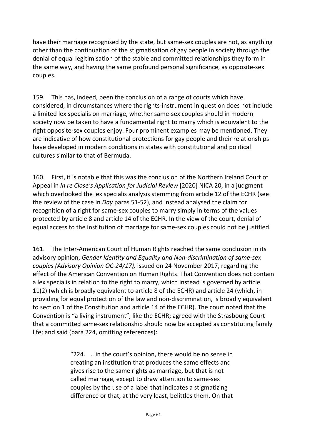have their marriage recognised by the state, but same-sex couples are not, as anything other than the continuation of the stigmatisation of gay people in society through the denial of equal legitimisation of the stable and committed relationships they form in the same way, and having the same profound personal significance, as opposite-sex couples.

159. This has, indeed, been the conclusion of a range of courts which have considered, in circumstances where the rights-instrument in question does not include a limited lex specialis on marriage, whether same-sex couples should in modern society now be taken to have a fundamental right to marry which is equivalent to the right opposite-sex couples enjoy. Four prominent examples may be mentioned. They are indicative of how constitutional protections for gay people and their relationships have developed in modern conditions in states with constitutional and political cultures similar to that of Bermuda.

160. First, it is notable that this was the conclusion of the Northern Ireland Court of Appeal in *In re Close's Application for Judicial Review* [2020] NICA 20, in a judgment which overlooked the lex specialis analysis stemming from article 12 of the ECHR (see the review of the case in *Day* paras 51-52), and instead analysed the claim for recognition of a right for same-sex couples to marry simply in terms of the values protected by article 8 and article 14 of the ECHR. In the view of the court, denial of equal access to the institution of marriage for same-sex couples could not be justified.

161. The Inter-American Court of Human Rights reached the same conclusion in its advisory opinion, *Gender Identity and Equality and Non-discrimination of same-sex couples (Advisory Opinion OC-24/17),* issued on 24 November 2017, regarding the effect of the American Convention on Human Rights. That Convention does not contain a lex specialis in relation to the right to marry, which instead is governed by article 11(2) (which is broadly equivalent to article 8 of the ECHR) and article 24 (which, in providing for equal protection of the law and non-discrimination, is broadly equivalent to section 1 of the Constitution and article 14 of the ECHR). The court noted that the Convention is "a living instrument", like the ECHR; agreed with the Strasbourg Court that a committed same-sex relationship should now be accepted as constituting family life; and said (para 224, omitting references):

> "224. … in the court's opinion, there would be no sense in creating an institution that produces the same effects and gives rise to the same rights as marriage, but that is not called marriage, except to draw attention to same-sex couples by the use of a label that indicates a stigmatizing difference or that, at the very least, belittles them. On that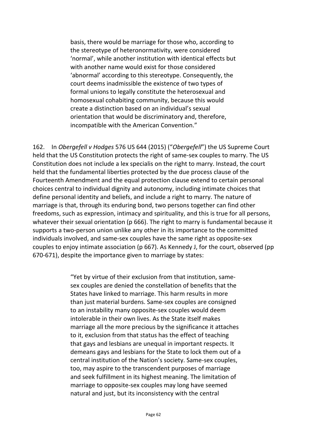basis, there would be marriage for those who, according to the stereotype of heteronormativity, were considered 'normal', while another institution with identical effects but with another name would exist for those considered 'abnormal' according to this stereotype. Consequently, the court deems inadmissible the existence of two types of formal unions to legally constitute the heterosexual and homosexual cohabiting community, because this would create a distinction based on an individual's sexual orientation that would be discriminatory and, therefore, incompatible with the American Convention."

162. In *Obergefell v Hodges* 576 US 644 (2015) ("*Obergefell*") the US Supreme Court held that the US Constitution protects the right of same-sex couples to marry. The US Constitution does not include a lex specialis on the right to marry. Instead, the court held that the fundamental liberties protected by the due process clause of the Fourteenth Amendment and the equal protection clause extend to certain personal choices central to individual dignity and autonomy, including intimate choices that define personal identity and beliefs, and include a right to marry. The nature of marriage is that, through its enduring bond, two persons together can find other freedoms, such as expression, intimacy and spirituality, and this is true for all persons, whatever their sexual orientation (p 666). The right to marry is fundamental because it supports a two-person union unlike any other in its importance to the committed individuals involved, and same-sex couples have the same right as opposite-sex couples to enjoy intimate association (p 667). As Kennedy J, for the court, observed (pp 670-671), despite the importance given to marriage by states:

> "Yet by virtue of their exclusion from that institution, samesex couples are denied the constellation of benefits that the States have linked to marriage. This harm results in more than just material burdens. Same-sex couples are consigned to an instability many opposite-sex couples would deem intolerable in their own lives. As the State itself makes marriage all the more precious by the significance it attaches to it, exclusion from that status has the effect of teaching that gays and lesbians are unequal in important respects. It demeans gays and lesbians for the State to lock them out of a central institution of the Nation's society. Same-sex couples, too, may aspire to the transcendent purposes of marriage and seek fulfillment in its highest meaning. The limitation of marriage to opposite-sex couples may long have seemed natural and just, but its inconsistency with the central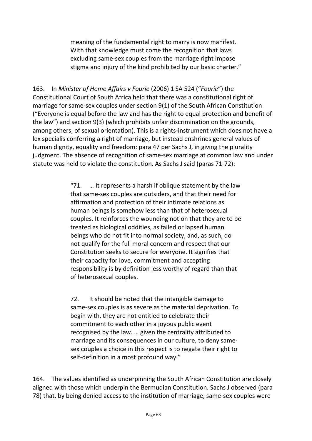meaning of the fundamental right to marry is now manifest. With that knowledge must come the recognition that laws excluding same-sex couples from the marriage right impose stigma and injury of the kind prohibited by our basic charter."

163. In *Minister of Home Affairs v Fourie* (2006) 1 SA 524 ("*Fourie*") the Constitutional Court of South Africa held that there was a constitutional right of marriage for same-sex couples under section 9(1) of the South African Constitution ("Everyone is equal before the law and has the right to equal protection and benefit of the law") and section 9(3) (which prohibits unfair discrimination on the grounds, among others, of sexual orientation). This is a rights-instrument which does not have a lex specialis conferring a right of marriage, but instead enshrines general values of human dignity, equality and freedom: para 47 per Sachs J, in giving the plurality judgment. The absence of recognition of same-sex marriage at common law and under statute was held to violate the constitution. As Sachs J said (paras 71-72):

> "71.  $\ldots$  It represents a harsh if oblique statement by the law that same-sex couples are outsiders, and that their need for affirmation and protection of their intimate relations as human beings is somehow less than that of heterosexual couples. It reinforces the wounding notion that they are to be treated as biological oddities, as failed or lapsed human beings who do not fit into normal society, and, as such, do not qualify for the full moral concern and respect that our Constitution seeks to secure for everyone. It signifies that their capacity for love, commitment and accepting responsibility is by definition less worthy of regard than that of heterosexual couples.

72. It should be noted that the intangible damage to same-sex couples is as severe as the material deprivation. To begin with, they are not entitled to celebrate their commitment to each other in a joyous public event recognised by the law. … given the centrality attributed to marriage and its consequences in our culture, to deny samesex couples a choice in this respect is to negate their right to self-definition in a most profound way."

164. The values identified as underpinning the South African Constitution are closely aligned with those which underpin the Bermudian Constitution. Sachs J observed (para 78) that, by being denied access to the institution of marriage, same-sex couples were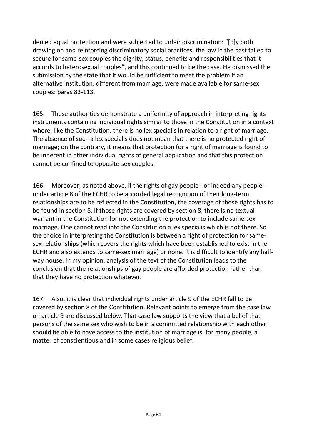denied equal protection and were subjected to unfair discrimination: "[b]y both drawing on and reinforcing discriminatory social practices, the law in the past failed to secure for same-sex couples the dignity, status, benefits and responsibilities that it accords to heterosexual couples", and this continued to be the case. He dismissed the submission by the state that it would be sufficient to meet the problem if an alternative institution, different from marriage, were made available for same-sex couples: paras 83-113.

165. These authorities demonstrate a uniformity of approach in interpreting rights instruments containing individual rights similar to those in the Constitution in a context where, like the Constitution, there is no lex specialis in relation to a right of marriage. The absence of such a lex specialis does not mean that there is no protected right of marriage; on the contrary, it means that protection for a right of marriage is found to be inherent in other individual rights of general application and that this protection cannot be confined to opposite-sex couples.

166. Moreover, as noted above, if the rights of gay people - or indeed any people under article 8 of the ECHR to be accorded legal recognition of their long-term relationships are to be reflected in the Constitution, the coverage of those rights has to be found in section 8. If those rights are covered by section 8, there is no textual warrant in the Constitution for not extending the protection to include same-sex marriage. One cannot read into the Constitution a lex specialis which is not there. So the choice in interpreting the Constitution is between a right of protection for samesex relationships (which covers the rights which have been established to exist in the ECHR and also extends to same-sex marriage) or none. It is difficult to identify any halfway house. In my opinion, analysis of the text of the Constitution leads to the conclusion that the relationships of gay people are afforded protection rather than that they have no protection whatever.

167. Also, it is clear that individual rights under article 9 of the ECHR fall to be covered by section 8 of the Constitution. Relevant points to emerge from the case law on article 9 are discussed below. That case law supports the view that a belief that persons of the same sex who wish to be in a committed relationship with each other should be able to have access to the institution of marriage is, for many people, a matter of conscientious and in some cases religious belief.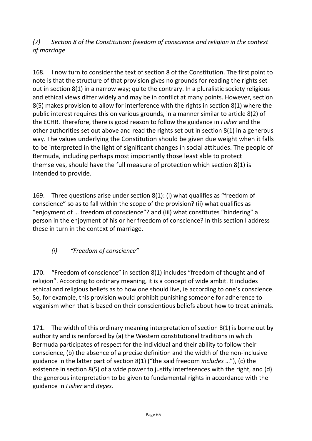### *(7) Section 8 of the Constitution: freedom of conscience and religion in the context of marriage*

168. I now turn to consider the text of section 8 of the Constitution. The first point to note is that the structure of that provision gives no grounds for reading the rights set out in section 8(1) in a narrow way; quite the contrary. In a pluralistic society religious and ethical views differ widely and may be in conflict at many points. However, section 8(5) makes provision to allow for interference with the rights in section 8(1) where the public interest requires this on various grounds, in a manner similar to article 8(2) of the ECHR. Therefore, there is good reason to follow the guidance in *Fisher* and the other authorities set out above and read the rights set out in section 8(1) in a generous way. The values underlying the Constitution should be given due weight when it falls to be interpreted in the light of significant changes in social attitudes. The people of Bermuda, including perhaps most importantly those least able to protect themselves, should have the full measure of protection which section 8(1) is intended to provide.

169. Three questions arise under section 8(1): (i) what qualifies as "freedom of conscience" so as to fall within the scope of the provision? (ii) what qualifies as "enjoyment of … freedom of conscience"? and (iii) what constitutes "hindering" a person in the enjoyment of his or her freedom of conscience? In this section I address these in turn in the context of marriage.

# *(i) "Freedom of conscience"*

170. "Freedom of conscience" in section 8(1) includes "freedom of thought and of religion". According to ordinary meaning, it is a concept of wide ambit. It includes ethical and religious beliefs as to how one should live, ie according to one's conscience. So, for example, this provision would prohibit punishing someone for adherence to veganism when that is based on their conscientious beliefs about how to treat animals.

171. The width of this ordinary meaning interpretation of section 8(1) is borne out by authority and is reinforced by (a) the Western constitutional traditions in which Bermuda participates of respect for the individual and their ability to follow their conscience, (b) the absence of a precise definition and the width of the non-inclusive guidance in the latter part of section 8(1) ("the said freedom *includes* …"), (c) the existence in section 8(5) of a wide power to justify interferences with the right, and (d) the generous interpretation to be given to fundamental rights in accordance with the guidance in *Fisher* and *Reyes*.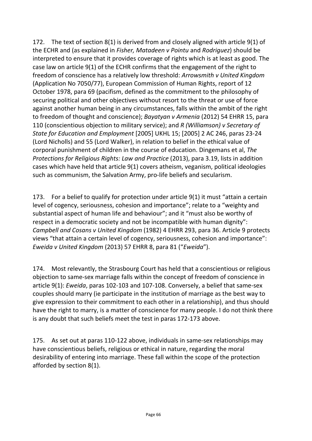172. The text of section 8(1) is derived from and closely aligned with article 9(1) of the ECHR and (as explained in *Fisher, Matadeen v Pointu* and *Rodriguez*) should be interpreted to ensure that it provides coverage of rights which is at least as good. The case law on article 9(1) of the ECHR confirms that the engagement of the right to freedom of conscience has a relatively low threshold: *Arrowsmith v United Kingdom* (Application No 7050/77), European Commission of Human Rights, report of 12 October 1978, para 69 (pacifism, defined as the commitment to the philosophy of securing political and other objectives without resort to the threat or use of force against another human being in any circumstances, falls within the ambit of the right to freedom of thought and conscience); *Bayatyan v Armenia* (2012) 54 EHRR 15, para 110 (conscientious objection to military service); and *R (Williamson) v Secretary of State for Education and Employment* [2005] UKHL 15; [2005] 2 AC 246, paras 23-24 (Lord Nicholls) and 55 (Lord Walker), in relation to belief in the ethical value of corporal punishment of children in the course of education. Dingemans et al, *The Protections for Religious Rights: Law and Practice* (2013), para 3.19, lists in addition cases which have held that article 9(1) covers atheism, veganism, political ideologies such as communism, the Salvation Army, pro-life beliefs and secularism.

173. For a belief to qualify for protection under article 9(1) it must "attain a certain level of cogency, seriousness, cohesion and importance"; relate to a "weighty and substantial aspect of human life and behaviour"; and it "must also be worthy of respect in a democratic society and not be incompatible with human dignity": *Campbell and Cosans v United Kingdom* (1982) 4 EHRR 293, para 36. Article 9 protects views "that attain a certain level of cogency, seriousness, cohesion and importance": *Eweida v United Kingdom* (2013) 57 EHRR 8, para 81 ("*Eweida*").

174. Most relevantly, the Strasbourg Court has held that a conscientious or religious objection to same-sex marriage falls within the concept of freedom of conscience in article 9(1): *Eweida*, paras 102-103 and 107-108. Conversely, a belief that same-sex couples should marry (ie participate in the institution of marriage as the best way to give expression to their commitment to each other in a relationship), and thus should have the right to marry, is a matter of conscience for many people. I do not think there is any doubt that such beliefs meet the test in paras 172-173 above.

175. As set out at paras 110-122 above, individuals in same-sex relationships may have conscientious beliefs, religious or ethical in nature, regarding the moral desirability of entering into marriage. These fall within the scope of the protection afforded by section 8(1).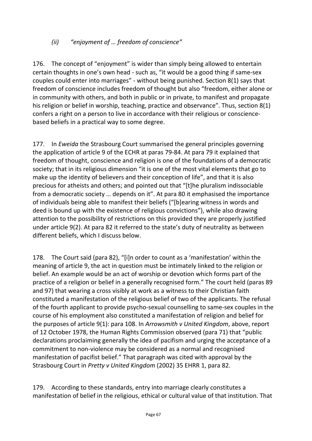### *(ii) "enjoyment of … freedom of conscience"*

176. The concept of "enjoyment" is wider than simply being allowed to entertain certain thoughts in one's own head - such as, "it would be a good thing if same-sex couples could enter into marriages" - without being punished. Section 8(1) says that freedom of conscience includes freedom of thought but also "freedom, either alone or in community with others, and both in public or in private, to manifest and propagate his religion or belief in worship, teaching, practice and observance". Thus, section 8(1) confers a right on a person to live in accordance with their religious or consciencebased beliefs in a practical way to some degree.

177. In *Eweida* the Strasbourg Court summarised the general principles governing the application of article 9 of the ECHR at paras 79-84. At para 79 it explained that freedom of thought, conscience and religion is one of the foundations of a democratic society; that in its religious dimension "it is one of the most vital elements that go to make up the identity of believers and their conception of life", and that it is also precious for atheists and others; and pointed out that "[t]he pluralism indissociable from a democratic society … depends on it". At para 80 it emphasised the importance of individuals being able to manifest their beliefs ("[b]earing witness in words and deed is bound up with the existence of religious convictions"), while also drawing attention to the possibility of restrictions on this provided they are properly justified under article 9(2). At para 82 it referred to the state's duty of neutrality as between different beliefs, which I discuss below.

178. The Court said (para 82), "[i]n order to count as a 'manifestation' within the meaning of article 9, the act in question must be intimately linked to the religion or belief. An example would be an act of worship or devotion which forms part of the practice of a religion or belief in a generally recognised form." The court held (paras 89 and 97) that wearing a cross visibly at work as a witness to their Christian faith constituted a manifestation of the religious belief of two of the applicants. The refusal of the fourth applicant to provide psycho-sexual counselling to same-sex couples in the course of his employment also constituted a manifestation of religion and belief for the purposes of article 9(1): para 108. In *Arrowsmith v United Kingdom*, above, report of 12 October 1978, the Human Rights Commission observed (para 71) that "public declarations proclaiming generally the idea of pacifism and urging the acceptance of a commitment to non-violence may be considered as a normal and recognised manifestation of pacifist belief." That paragraph was cited with approval by the Strasbourg Court in *Pretty v United Kingdom* (2002) 35 EHRR 1, para 82.

179. According to these standards, entry into marriage clearly constitutes a manifestation of belief in the religious, ethical or cultural value of that institution. That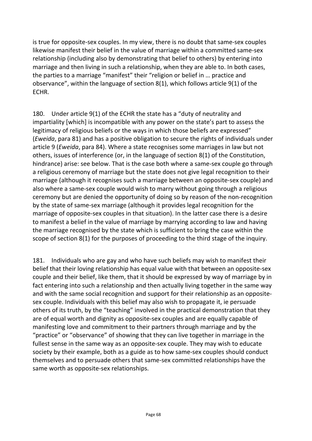is true for opposite-sex couples. In my view, there is no doubt that same-sex couples likewise manifest their belief in the value of marriage within a committed same-sex relationship (including also by demonstrating that belief to others) by entering into marriage and then living in such a relationship, when they are able to. In both cases, the parties to a marriage "manifest" their "religion or belief in … practice and observance", within the language of section 8(1), which follows article 9(1) of the ECHR.

180. Under article 9(1) of the ECHR the state has a "duty of neutrality and impartiality [which] is incompatible with any power on the state's part to assess the legitimacy of religious beliefs or the ways in which those beliefs are expressed" (*Eweida*, para 81) and has a positive obligation to secure the rights of individuals under article 9 (*Eweida*, para 84). Where a state recognises some marriages in law but not others, issues of interference (or, in the language of section 8(1) of the Constitution, hindrance) arise: see below. That is the case both where a same-sex couple go through a religious ceremony of marriage but the state does not give legal recognition to their marriage (although it recognises such a marriage between an opposite-sex couple) and also where a same-sex couple would wish to marry without going through a religious ceremony but are denied the opportunity of doing so by reason of the non-recognition by the state of same-sex marriage (although it provides legal recognition for the marriage of opposite-sex couples in that situation). In the latter case there is a desire to manifest a belief in the value of marriage by marrying according to law and having the marriage recognised by the state which is sufficient to bring the case within the scope of section 8(1) for the purposes of proceeding to the third stage of the inquiry.

181. Individuals who are gay and who have such beliefs may wish to manifest their belief that their loving relationship has equal value with that between an opposite-sex couple and their belief, like them, that it should be expressed by way of marriage by in fact entering into such a relationship and then actually living together in the same way and with the same social recognition and support for their relationship as an oppositesex couple. Individuals with this belief may also wish to propagate it, ie persuade others of its truth, by the "teaching" involved in the practical demonstration that they are of equal worth and dignity as opposite-sex couples and are equally capable of manifesting love and commitment to their partners through marriage and by the "practice" or "observance" of showing that they can live together in marriage in the fullest sense in the same way as an opposite-sex couple. They may wish to educate society by their example, both as a guide as to how same-sex couples should conduct themselves and to persuade others that same-sex committed relationships have the same worth as opposite-sex relationships.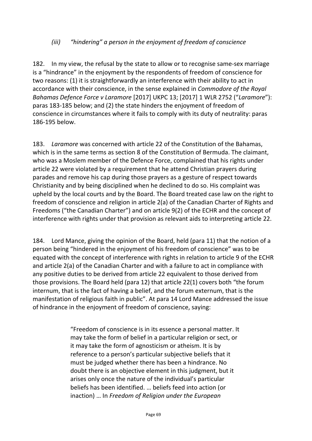#### *(iii) "hindering" a person in the enjoyment of freedom of conscience*

182. In my view, the refusal by the state to allow or to recognise same-sex marriage is a "hindrance" in the enjoyment by the respondents of freedom of conscience for two reasons: (1) it is straightforwardly an interference with their ability to act in accordance with their conscience, in the sense explained in *Commodore of the Royal Bahamas Defence Force v Laramore* [2017] UKPC 13; [2017] 1 WLR 2752 ("*Laramore*"): paras 183-185 below; and (2) the state hinders the enjoyment of freedom of conscience in circumstances where it fails to comply with its duty of neutrality: paras 186-195 below.

183. *Laramore* was concerned with article 22 of the Constitution of the Bahamas, which is in the same terms as section 8 of the Constitution of Bermuda. The claimant, who was a Moslem member of the Defence Force, complained that his rights under article 22 were violated by a requirement that he attend Christian prayers during parades and remove his cap during those prayers as a gesture of respect towards Christianity and by being disciplined when he declined to do so. His complaint was upheld by the local courts and by the Board. The Board treated case law on the right to freedom of conscience and religion in article 2(a) of the Canadian Charter of Rights and Freedoms ("the Canadian Charter") and on article 9(2) of the ECHR and the concept of interference with rights under that provision as relevant aids to interpreting article 22.

184. Lord Mance, giving the opinion of the Board, held (para 11) that the notion of a person being "hindered in the enjoyment of his freedom of conscience" was to be equated with the concept of interference with rights in relation to article 9 of the ECHR and article 2(a) of the Canadian Charter and with a failure to act in compliance with any positive duties to be derived from article 22 equivalent to those derived from those provisions. The Board held (para 12) that article 22(1) covers both "the forum internum, that is the fact of having a belief, and the forum externum, that is the manifestation of religious faith in public". At para 14 Lord Mance addressed the issue of hindrance in the enjoyment of freedom of conscience, saying:

> "Freedom of conscience is in its essence a personal matter. It may take the form of belief in a particular religion or sect, or it may take the form of agnosticism or atheism. It is by reference to a person's particular subjective beliefs that it must be judged whether there has been a hindrance. No doubt there is an objective element in this judgment, but it arises only once the nature of the individual's particular beliefs has been identified. … beliefs feed into action (or inaction) … In *Freedom of Religion under the European*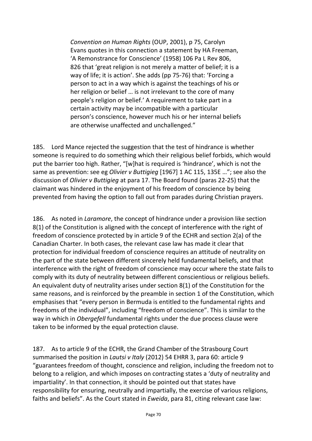*Convention on Human Rights* (OUP, 2001), p 75, Carolyn Evans quotes in this connection a statement by HA Freeman, 'A Remonstrance for Conscience' (1958) 106 Pa L Rev 806, 826 that 'great religion is not merely a matter of belief; it is a way of life; it is action'. She adds (pp 75-76) that: 'Forcing a person to act in a way which is against the teachings of his or her religion or belief … is not irrelevant to the core of many people's religion or belief.' A requirement to take part in a certain activity may be incompatible with a particular person's conscience, however much his or her internal beliefs are otherwise unaffected and unchallenged."

185. Lord Mance rejected the suggestion that the test of hindrance is whether someone is required to do something which their religious belief forbids, which would put the barrier too high. Rather, "[w]hat is required is 'hindrance', which is not the same as prevention: see eg *Olivier v Buttigieg* [1967] 1 AC 115, 135E …"; see also the discussion of *Olivier v Buttigieg* at para 17. The Board found (paras 22-25) that the claimant was hindered in the enjoyment of his freedom of conscience by being prevented from having the option to fall out from parades during Christian prayers.

186. As noted in *Laramore*, the concept of hindrance under a provision like section 8(1) of the Constitution is aligned with the concept of interference with the right of freedom of conscience protected by in article 9 of the ECHR and section 2(a) of the Canadian Charter. In both cases, the relevant case law has made it clear that protection for individual freedom of conscience requires an attitude of neutrality on the part of the state between different sincerely held fundamental beliefs, and that interference with the right of freedom of conscience may occur where the state fails to comply with its duty of neutrality between different conscientious or religious beliefs. An equivalent duty of neutrality arises under section 8(1) of the Constitution for the same reasons, and is reinforced by the preamble in section 1 of the Constitution, which emphasises that "every person in Bermuda is entitled to the fundamental rights and freedoms of the individual", including "freedom of conscience". This is similar to the way in which in *Obergefell* fundamental rights under the due process clause were taken to be informed by the equal protection clause.

187. As to article 9 of the ECHR, the Grand Chamber of the Strasbourg Court summarised the position in *Lautsi v Italy* (2012) 54 EHRR 3, para 60: article 9 "guarantees freedom of thought, conscience and religion, including the freedom not to belong to a religion, and which imposes on contracting states a 'duty of neutrality and impartiality'. In that connection, it should be pointed out that states have responsibility for ensuring, neutrally and impartially, the exercise of various religions, faiths and beliefs". As the Court stated in *Eweida*, para 81, citing relevant case law: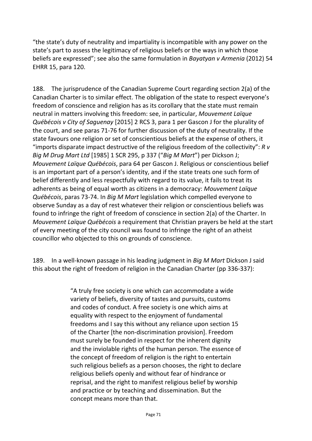"the state's duty of neutrality and impartiality is incompatible with any power on the state's part to assess the legitimacy of religious beliefs or the ways in which those beliefs are expressed"; see also the same formulation in *Bayatyan v Armenia* (2012) 54 EHRR 15, para 120.

188. The jurisprudence of the Canadian Supreme Court regarding section 2(a) of the Canadian Charter is to similar effect. The obligation of the state to respect everyone's freedom of conscience and religion has as its corollary that the state must remain neutral in matters involving this freedom: see, in particular, *Mouvement Laïque Québécois v City of Saguenay* [2015] 2 RCS 3, para 1 per Gascon J for the plurality of the court, and see paras 71-76 for further discussion of the duty of neutrality. If the state favours one religion or set of conscientious beliefs at the expense of others, it "imports disparate impact destructive of the religious freedom of the collectivity": *R v Big M Drug Mart Ltd* [1985] 1 SCR 295, p 337 ("*Big M Mart*") per Dickson J; *Mouvement Laïque Québécois*, para 64 per Gascon J. Religious or conscientious belief is an important part of a person's identity, and if the state treats one such form of belief differently and less respectfully with regard to its value, it fails to treat its adherents as being of equal worth as citizens in a democracy: *Mouvement Laïque Québécois*, paras 73-74. In *Big M Mart* legislation which compelled everyone to observe Sunday as a day of rest whatever their religion or conscientious beliefs was found to infringe the right of freedom of conscience in section 2(a) of the Charter. In *Mouvement Laïque Québécois* a requirement that Christian prayers be held at the start of every meeting of the city council was found to infringe the right of an atheist councillor who objected to this on grounds of conscience.

189. In a well-known passage in his leading judgment in *Big M Mart* Dickson J said this about the right of freedom of religion in the Canadian Charter (pp 336-337):

> "A truly free society is one which can accommodate a wide variety of beliefs, diversity of tastes and pursuits, customs and codes of conduct. A free society is one which aims at equality with respect to the enjoyment of fundamental freedoms and I say this without any reliance upon section 15 of the Charter [the non-discrimination provision]. Freedom must surely be founded in respect for the inherent dignity and the inviolable rights of the human person. The essence of the concept of freedom of religion is the right to entertain such religious beliefs as a person chooses, the right to declare religious beliefs openly and without fear of hindrance or reprisal, and the right to manifest religious belief by worship and practice or by teaching and dissemination. But the concept means more than that.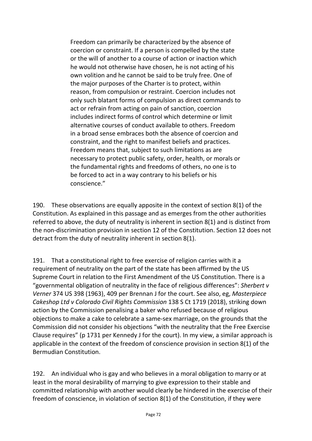Freedom can primarily be characterized by the absence of coercion or constraint. If a person is compelled by the state or the will of another to a course of action or inaction which he would not otherwise have chosen, he is not acting of his own volition and he cannot be said to be truly free. One of the major purposes of the Charter is to protect, within reason, from compulsion or restraint. Coercion includes not only such blatant forms of compulsion as direct commands to act or refrain from acting on pain of sanction, coercion includes indirect forms of control which determine or limit alternative courses of conduct available to others. Freedom in a broad sense embraces both the absence of coercion and constraint, and the right to manifest beliefs and practices. Freedom means that, subject to such limitations as are necessary to protect public safety, order, health, or morals or the fundamental rights and freedoms of others, no one is to be forced to act in a way contrary to his beliefs or his conscience."

190. These observations are equally apposite in the context of section 8(1) of the Constitution. As explained in this passage and as emerges from the other authorities referred to above, the duty of neutrality is inherent in section 8(1) and is distinct from the non-discrimination provision in section 12 of the Constitution. Section 12 does not detract from the duty of neutrality inherent in section 8(1).

191. That a constitutional right to free exercise of religion carries with it a requirement of neutrality on the part of the state has been affirmed by the US Supreme Court in relation to the First Amendment of the US Constitution. There is a "governmental obligation of neutrality in the face of religious differences": *Sherbert v Verner* 374 US 398 (1963), 409 per Brennan J for the court. See also, eg, *Masterpiece Cakeshop Ltd v Colorado Civil Rights Commission* 138 S Ct 1719 (2018), striking down action by the Commission penalising a baker who refused because of religious objections to make a cake to celebrate a same-sex marriage, on the grounds that the Commission did not consider his objections "with the neutrality that the Free Exercise Clause requires" (p 1731 per Kennedy J for the court). In my view, a similar approach is applicable in the context of the freedom of conscience provision in section 8(1) of the Bermudian Constitution.

192. An individual who is gay and who believes in a moral obligation to marry or at least in the moral desirability of marrying to give expression to their stable and committed relationship with another would clearly be hindered in the exercise of their freedom of conscience, in violation of section 8(1) of the Constitution, if they were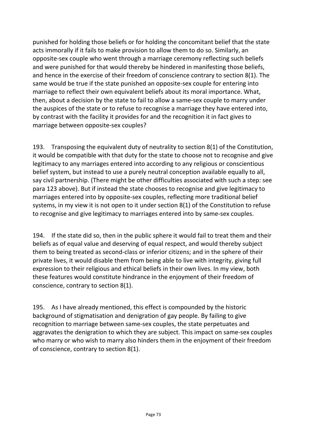punished for holding those beliefs or for holding the concomitant belief that the state acts immorally if it fails to make provision to allow them to do so. Similarly, an opposite-sex couple who went through a marriage ceremony reflecting such beliefs and were punished for that would thereby be hindered in manifesting those beliefs, and hence in the exercise of their freedom of conscience contrary to section 8(1). The same would be true if the state punished an opposite-sex couple for entering into marriage to reflect their own equivalent beliefs about its moral importance. What, then, about a decision by the state to fail to allow a same-sex couple to marry under the auspices of the state or to refuse to recognise a marriage they have entered into, by contrast with the facility it provides for and the recognition it in fact gives to marriage between opposite-sex couples?

193. Transposing the equivalent duty of neutrality to section 8(1) of the Constitution, it would be compatible with that duty for the state to choose not to recognise and give legitimacy to any marriages entered into according to any religious or conscientious belief system, but instead to use a purely neutral conception available equally to all, say civil partnership. (There might be other difficulties associated with such a step: see para 123 above). But if instead the state chooses to recognise and give legitimacy to marriages entered into by opposite-sex couples, reflecting more traditional belief systems, in my view it is not open to it under section 8(1) of the Constitution to refuse to recognise and give legitimacy to marriages entered into by same-sex couples.

194. If the state did so, then in the public sphere it would fail to treat them and their beliefs as of equal value and deserving of equal respect, and would thereby subject them to being treated as second-class or inferior citizens; and in the sphere of their private lives, it would disable them from being able to live with integrity, giving full expression to their religious and ethical beliefs in their own lives. In my view, both these features would constitute hindrance in the enjoyment of their freedom of conscience, contrary to section 8(1).

195. As I have already mentioned, this effect is compounded by the historic background of stigmatisation and denigration of gay people. By failing to give recognition to marriage between same-sex couples, the state perpetuates and aggravates the denigration to which they are subject. This impact on same-sex couples who marry or who wish to marry also hinders them in the enjoyment of their freedom of conscience, contrary to section 8(1).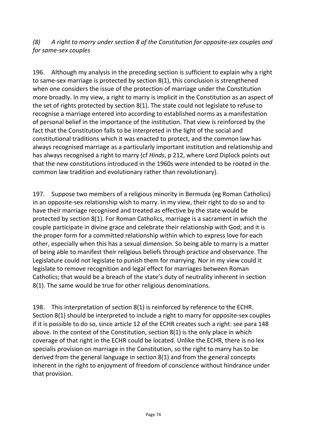*(8) A right to marry under section 8 of the Constitution for opposite-sex couples and for same-sex couples*

196. Although my analysis in the preceding section is sufficient to explain why a right to same-sex marriage is protected by section 8(1), this conclusion is strengthened when one considers the issue of the protection of marriage under the Constitution more broadly. In my view, a right to marry is implicit in the Constitution as an aspect of the set of rights protected by section 8(1). The state could not legislate to refuse to recognise a marriage entered into according to established norms as a manifestation of personal belief in the importance of the institution. That view is reinforced by the fact that the Constitution falls to be interpreted in the light of the social and constitutional traditions which it was enacted to protect, and the common law has always recognised marriage as a particularly important institution and relationship and has always recognised a right to marry (cf *Hinds*, p 212, where Lord Diplock points out that the new constitutions introduced in the 1960s were intended to be rooted in the common law tradition and evolutionary rather than revolutionary).

197. Suppose two members of a religious minority in Bermuda (eg Roman Catholics) in an opposite-sex relationship wish to marry. In my view, their right to do so and to have their marriage recognised and treated as effective by the state would be protected by section 8(1). For Roman Catholics, marriage is a sacrament in which the couple participate in divine grace and celebrate their relationship with God; and it is the proper form for a committed relationship within which to express love for each other, especially when this has a sexual dimension. So being able to marry is a matter of being able to manifest their religious beliefs through practice and observance. The Legislature could not legislate to punish them for marrying. Nor in my view could it legislate to remove recognition and legal effect for marriages between Roman Catholics; that would be a breach of the state's duty of neutrality inherent in section 8(1). The same would be true for other religious denominations.

198. This interpretation of section 8(1) is reinforced by reference to the ECHR. Section 8(1) should be interpreted to include a right to marry for opposite-sex couples if it is possible to do so, since article 12 of the ECHR creates such a right: see para 148 above. In the context of the Constitution, section 8(1) is the only place in which coverage of that right in the ECHR could be located. Unlike the ECHR, there is no lex specialis provision on marriage in the Constitution, so the right to marry has to be derived from the general language in section 8(1) and from the general concepts inherent in the right to enjoyment of freedom of conscience without hindrance under that provision.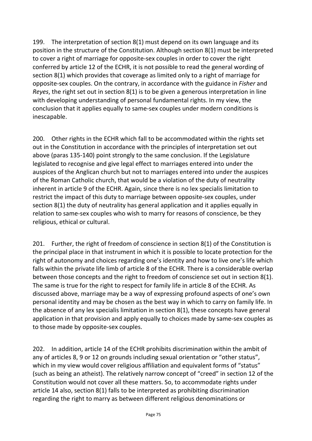199. The interpretation of section 8(1) must depend on its own language and its position in the structure of the Constitution. Although section 8(1) must be interpreted to cover a right of marriage for opposite-sex couples in order to cover the right conferred by article 12 of the ECHR, it is not possible to read the general wording of section 8(1) which provides that coverage as limited only to a right of marriage for opposite-sex couples. On the contrary, in accordance with the guidance in *Fisher* and *Reyes*, the right set out in section 8(1) is to be given a generous interpretation in line with developing understanding of personal fundamental rights. In my view, the conclusion that it applies equally to same-sex couples under modern conditions is inescapable.

200. Other rights in the ECHR which fall to be accommodated within the rights set out in the Constitution in accordance with the principles of interpretation set out above (paras 135-140) point strongly to the same conclusion. If the Legislature legislated to recognise and give legal effect to marriages entered into under the auspices of the Anglican church but not to marriages entered into under the auspices of the Roman Catholic church, that would be a violation of the duty of neutrality inherent in article 9 of the ECHR. Again, since there is no lex specialis limitation to restrict the impact of this duty to marriage between opposite-sex couples, under section 8(1) the duty of neutrality has general application and it applies equally in relation to same-sex couples who wish to marry for reasons of conscience, be they religious, ethical or cultural.

201. Further, the right of freedom of conscience in section 8(1) of the Constitution is the principal place in that instrument in which it is possible to locate protection for the right of autonomy and choices regarding one's identity and how to live one's life which falls within the private life limb of article 8 of the ECHR. There is a considerable overlap between those concepts and the right to freedom of conscience set out in section 8(1). The same is true for the right to respect for family life in article 8 of the ECHR. As discussed above, marriage may be a way of expressing profound aspects of one's own personal identity and may be chosen as the best way in which to carry on family life. In the absence of any lex specialis limitation in section 8(1), these concepts have general application in that provision and apply equally to choices made by same-sex couples as to those made by opposite-sex couples.

202. In addition, article 14 of the ECHR prohibits discrimination within the ambit of any of articles 8, 9 or 12 on grounds including sexual orientation or "other status", which in my view would cover religious affiliation and equivalent forms of "status" (such as being an atheist). The relatively narrow concept of "creed" in section 12 of the Constitution would not cover all these matters. So, to accommodate rights under article 14 also, section 8(1) falls to be interpreted as prohibiting discrimination regarding the right to marry as between different religious denominations or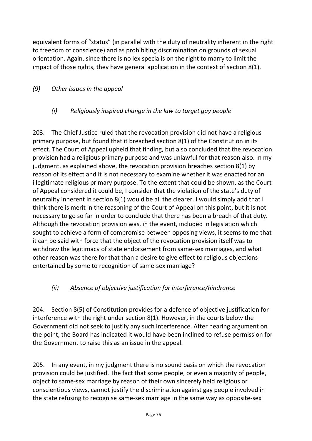equivalent forms of "status" (in parallel with the duty of neutrality inherent in the right to freedom of conscience) and as prohibiting discrimination on grounds of sexual orientation. Again, since there is no lex specialis on the right to marry to limit the impact of those rights, they have general application in the context of section 8(1).

# *(9) Other issues in the appeal*

## *(i) Religiously inspired change in the law to target gay people*

203. The Chief Justice ruled that the revocation provision did not have a religious primary purpose, but found that it breached section 8(1) of the Constitution in its effect. The Court of Appeal upheld that finding, but also concluded that the revocation provision had a religious primary purpose and was unlawful for that reason also. In my judgment, as explained above, the revocation provision breaches section 8(1) by reason of its effect and it is not necessary to examine whether it was enacted for an illegitimate religious primary purpose. To the extent that could be shown, as the Court of Appeal considered it could be, I consider that the violation of the state's duty of neutrality inherent in section 8(1) would be all the clearer. I would simply add that I think there is merit in the reasoning of the Court of Appeal on this point, but it is not necessary to go so far in order to conclude that there has been a breach of that duty. Although the revocation provision was, in the event, included in legislation which sought to achieve a form of compromise between opposing views, it seems to me that it can be said with force that the object of the revocation provision itself was to withdraw the legitimacy of state endorsement from same-sex marriages, and what other reason was there for that than a desire to give effect to religious objections entertained by some to recognition of same-sex marriage?

# *(ii) Absence of objective justification for interference/hindrance*

204. Section 8(5) of Constitution provides for a defence of objective justification for interference with the right under section 8(1). However, in the courts below the Government did not seek to justify any such interference. After hearing argument on the point, the Board has indicated it would have been inclined to refuse permission for the Government to raise this as an issue in the appeal.

205. In any event, in my judgment there is no sound basis on which the revocation provision could be justified. The fact that some people, or even a majority of people, object to same-sex marriage by reason of their own sincerely held religious or conscientious views, cannot justify the discrimination against gay people involved in the state refusing to recognise same-sex marriage in the same way as opposite-sex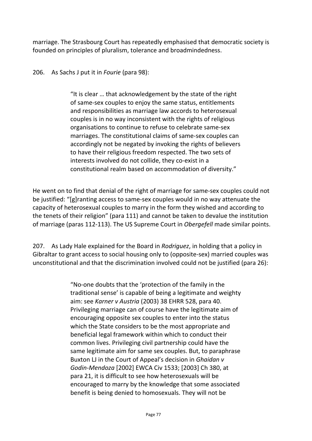marriage. The Strasbourg Court has repeatedly emphasised that democratic society is founded on principles of pluralism, tolerance and broadmindedness.

206. As Sachs J put it in *Fourie* (para 98):

"It is clear … that acknowledgement by the state of the right of same-sex couples to enjoy the same status, entitlements and responsibilities as marriage law accords to heterosexual couples is in no way inconsistent with the rights of religious organisations to continue to refuse to celebrate same-sex marriages. The constitutional claims of same-sex couples can accordingly not be negated by invoking the rights of believers to have their religious freedom respected. The two sets of interests involved do not collide, they co-exist in a constitutional realm based on accommodation of diversity."

He went on to find that denial of the right of marriage for same-sex couples could not be justified: "[g]ranting access to same-sex couples would in no way attenuate the capacity of heterosexual couples to marry in the form they wished and according to the tenets of their religion" (para 111) and cannot be taken to devalue the institution of marriage (paras 112-113). The US Supreme Court in *Obergefell* made similar points.

207. As Lady Hale explained for the Board in *Rodriguez*, in holding that a policy in Gibraltar to grant access to social housing only to (opposite-sex) married couples was unconstitutional and that the discrimination involved could not be justified (para 26):

> "No-one doubts that the 'protection of the family in the traditional sense' is capable of being a legitimate and weighty aim: see *Karner v Austria* (2003) 38 EHRR 528, para 40. Privileging marriage can of course have the legitimate aim of encouraging opposite sex couples to enter into the status which the State considers to be the most appropriate and beneficial legal framework within which to conduct their common lives. Privileging civil partnership could have the same legitimate aim for same sex couples. But, to paraphrase Buxton LJ in the Court of Appeal's decision in *Ghaidan v Godin-Mendoza* [2002] EWCA Civ 1533; [2003] Ch 380, at para 21, it is difficult to see how heterosexuals will be encouraged to marry by the knowledge that some associated benefit is being denied to homosexuals. They will not be